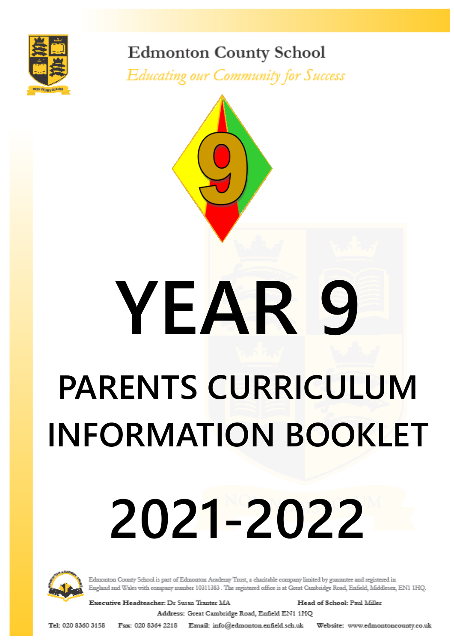

# **Edmonton County School**

**Educating our Community for Success** 





Edmonton County School is part of Edmonton Academy Trust, a charitable company limited by guarantee and registered in<br>England and Wales with company number 10311383 . The registered office is at Great Cambridge Road, Enfie

Executive Headteacher: Dr Susan Tranter MA Head of School: Paul Miller Address: Great Cambridge Road, Enfield EN1 1HQ

Tel: 020 8360 3158 Fax: 020 8364 2218 Email: info@edmonton.enfield.sch.uk Website: www.edmontoncounty.co.uk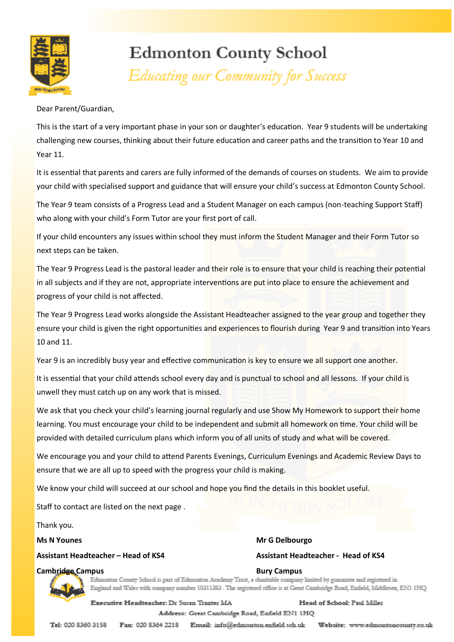

# **Edmonton County School Educating our Community for Success**

Dear Parent/Guardian,

This is the start of a very important phase in your son or daughter's education. Year 9 students will be undertaking challenging new courses, thinking about their future education and career paths and the transition to Year 10 and Year 11.

It is essential that parents and carers are fully informed of the demands of courses on students. We aim to provide your child with specialised support and guidance that will ensure your child's success at Edmonton County School.

The Year 9 team consists of a Progress Lead and a Student Manager on each campus (non-teaching Support Staff) who along with your child's Form Tutor are your first port of call.

If your child encounters any issues within school they must inform the Student Manager and their Form Tutor so next steps can be taken.

The Year 9 Progress Lead is the pastoral leader and their role is to ensure that your child is reaching their potential in all subjects and if they are not, appropriate interventions are put into place to ensure the achievement and progress of your child is not affected.

The Year 9 Progress Lead works alongside the Assistant Headteacher assigned to the year group and together they ensure your child is given the right opportunities and experiences to flourish during Year 9 and transition into Years 10 and 11.

Year 9 is an incredibly busy year and effective communication is key to ensure we all support one another.

It is essential that your child attends school every day and is punctual to school and all lessons. If your child is unwell they must catch up on any work that is missed.

We ask that you check your child's learning journal regularly and use Show My Homework to support their home learning. You must encourage your child to be independent and submit all homework on time. Your child will be provided with detailed curriculum plans which inform you of all units of study and what will be covered.

We encourage you and your child to attend Parents Evenings, Curriculum Evenings and Academic Review Days to ensure that we are all up to speed with the progress your child is making.

We know your child will succeed at our school and hope you find the details in this booklet useful.

Staff to contact are listed on the next page .

Thank you.

# **Assistant Headteacher – Head of KS4 Assistant Headteacher - Head of KS4**

## **Cambridge Campus Bury Campus Bury Campus**

**Ms N Younes Mr G Delbourgo** 

Edmonton County Sehool is part of Edmonton Academy Trust, a charitable company limited by guarantee and registered in England and Wales with company mumber 10311383 . The registered office is at Great Cambridge Road, Enfield, Middlesex, ENI 1HQ.

# Executive Headteacher: Dr Susan Tranter MA

# Head of School: Paul Miller

Address: Great Cambridge Road, Enfield EN1 1HQ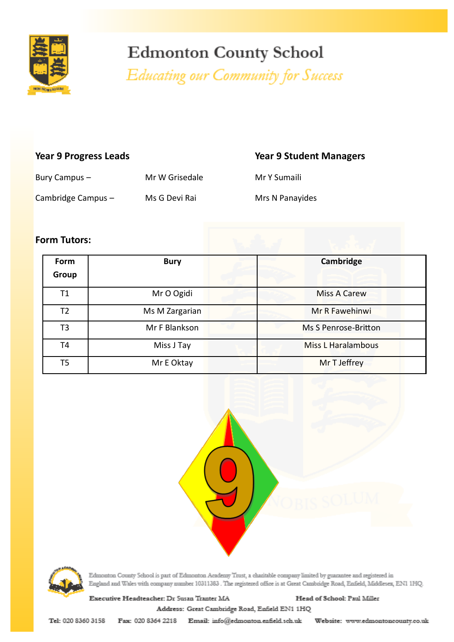

# **Edmonton County School**

**Educating our Community for Success** 

# **Year 9 Progress Leads Year 9 Student Managers**

| Bury Campus –      | Mr W Grisedale |
|--------------------|----------------|
| Cambridge Campus – | Ms G Devi Rai  |

# **Mr Y Sumaili**

Mrs N Panayides

# **Form Tutors:**

| Form<br>Group  | <b>Bury</b>    | Cambridge                 |
|----------------|----------------|---------------------------|
| Τ1             | Mr O Ogidi     | <b>Miss A Carew</b>       |
| T <sub>2</sub> | Ms M Zargarian | Mr R Fawehinwi            |
| T <sub>3</sub> | Mr F Blankson  | Ms S Penrose-Britton      |
| T <sub>4</sub> | Miss J Tay     | <b>Miss L Haralambous</b> |
| T5             | Mr E Oktay     | Mr T Jeffrey              |





Edmonton County Selsool is part of Edmonton Academy Trust, a charitable company limited by guarantee and registered in<br>England and Wales with company number 10311383 . The registered office is at Great Cambridge Road, Enfi

Executive Headteacher: Dr Susan Tranter MA Address: Great Cambridge Road, Enfield EN1 1HQ

Head of School: Paul Miller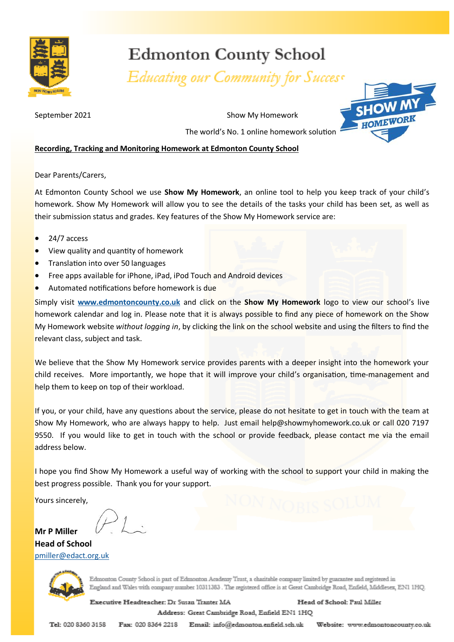

# **Edmonton County School**

Educating our Community for Success

September 2021 Show My Homework



# The world's No. 1 online homework solution

# **Recording, Tracking and Monitoring Homework at Edmonton County School**

Dear Parents/Carers,

At Edmonton County School we use **Show My Homework**, an online tool to help you keep track of your child's homework. Show My Homework will allow you to see the details of the tasks your child has been set, as well as their submission status and grades. Key features of the Show My Homework service are:

- 24/7 access
- View quality and quantity of homework
- **•** Translation into over 50 languages
- Free apps available for iPhone, iPad, iPod Touch and Android devices
- Automated notifications before homework is due

Simply visit **[www.edmontoncounty.co.uk](http://www.edmontoncounty.co.uk)** and click on the **Show My Homework** logo to view our school's live homework calendar and log in. Please note that it is always possible to find any piece of homework on the Show My Homework website *without logging in*, by clicking the link on the school website and using the filters to find the relevant class, subject and task.

We believe that the Show My Homework service provides parents with a deeper insight into the homework your child receives. More importantly, we hope that it will improve your child's organisation, time-management and help them to keep on top of their workload.

If you, or your child, have any questions about the service, please do not hesitate to get in touch with the team at Show My Homework, who are always happy to help. Just email [help@showmyhomework.co.uk o](mailto:help@showmyhomework.co.uk)r call 020 7197 9550. If you would like to get in touch with the school or provide feedback, please contact me via the email address below.

I hope you find Show My Homework a useful way of working with the school to support your child in making the best progress possible. Thank you for your support.

Yours sincerely,

**Mr P Miller Head of School**  [pmiller@edact.org.uk](mailto:pmiller@edmonton.enfield.sch.uk)



Edmonton County School is part of Edmonton Academy Trust, a charitable company limited by guarantee and registered in England and Wales with company number 10311383 . The registered office is at Great Cambridge Road, Enfield, Middlesex, EN1 1HQ.

Executive Headteacher: Dr Susan Tranter MA Address: Great Cambridge Road, Enfield EN1 1HQ

Head of School: Paul Miller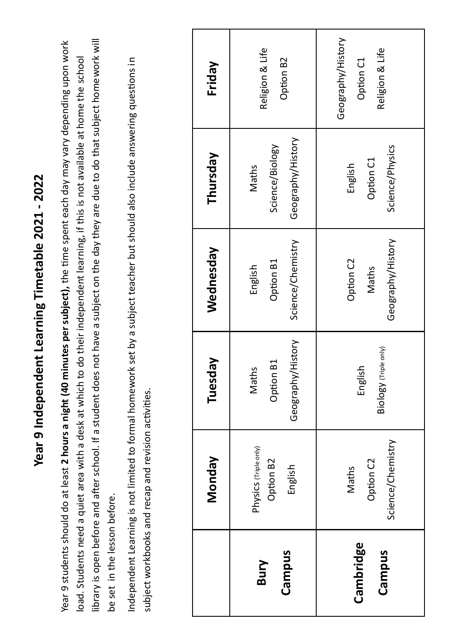# **Year 9 Independent Learning Timetable 2021 - 2022**  Year 9 Independent Learning Timetable 2021 - 2022

library is open before and after school. If a student does not have a subject on the day they are due to do that subject homework will library is open before and after school. If a student does not have a subject on the day they are due to do that subject home work will Year 9 students should do at least **2 hours a night (40 minutes per subject),** the time spent each day may vary depending upon work Year 9 students should do at least 2 hours a night (40 minutes per subject), the time spent each day may vary depending upon work load. Students need a quiet area with a desk at which to do their independent learning, if this is not available at home the school load. Students need a quiet area with a desk at which to do their independent learning, if this is not available at home the school be set in the lesson before. be set in the lesson before.

Independent Learning is not limited to formal homework set by a subject teacher but should also include answering questions in Independent Learning is not limited to formal homework set by a subject teacher but should also include answering questions in subject workbooks and recap and revision activities. subject workbooks and recap and revision activities.

|                     | <b>Monday</b>                                 | Tuesday                                          | Wednesday                                 | Thursday                                       | Friday                                            |
|---------------------|-----------------------------------------------|--------------------------------------------------|-------------------------------------------|------------------------------------------------|---------------------------------------------------|
| Campus<br>Bury      | Physics (Triple only)<br>Option B2<br>English | Geography/History<br><u>ក</u><br>Maths<br>Option | Science/Chemistry<br>Option B1<br>English | Geography/History<br>Science/Biology<br>Maths  | Religion & Life<br>Option B2                      |
| Cambridge<br>Campus | Science/Chemistry<br>Option C2<br>Maths       | Biology (Triple only)<br>English                 | Geography/History<br>Option C2<br>Maths   | Science/Physics<br><b>Option C1</b><br>English | Geography/History<br>Religion & Life<br>Option C1 |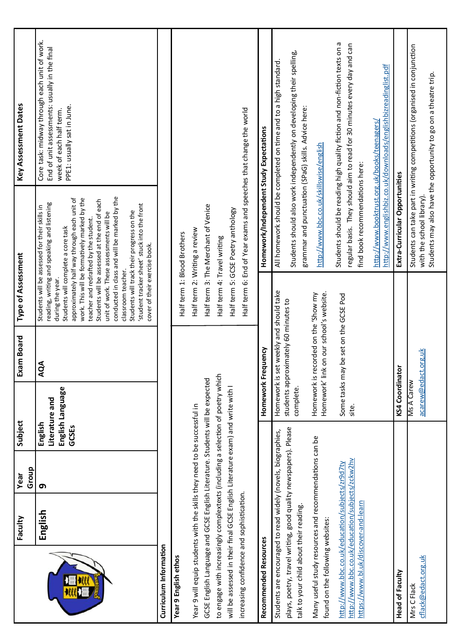|                                                                                                                                            | Faculty | Group<br>Year | Subject                                                | Exam Board                                                                      | Type of Assessment                                                                                            |                                                                                                                                                                                                                                                                                                                                                                                                                                                                              | Key Assessment Dates                                                                                                                                   |
|--------------------------------------------------------------------------------------------------------------------------------------------|---------|---------------|--------------------------------------------------------|---------------------------------------------------------------------------------|---------------------------------------------------------------------------------------------------------------|------------------------------------------------------------------------------------------------------------------------------------------------------------------------------------------------------------------------------------------------------------------------------------------------------------------------------------------------------------------------------------------------------------------------------------------------------------------------------|--------------------------------------------------------------------------------------------------------------------------------------------------------|
|                                                                                                                                            | English | Ō             | English Language<br>Literature and<br>English<br>GCSES | AQA                                                                             | Students will complete a core task<br>cover of their exercise book.<br>classroom teacher.<br>during the year. | conducted in class and will be marked by the<br>work. This will be formatively marked by the<br>approximately half way through each unit of<br>Students will be assessed at the end of each<br>reading, writing and speaking and listening<br>'student tracker sheet' stuck into the front<br>Students will be assessed for their skills in<br>Students will track their progress on the<br>unit of work. These assessments will be<br>teacher and redrafted by the student. | Core task: midway through each unit of work.<br>End of unit assessments: usually in the final<br>PPE1: usually sat in June.<br>week of each half term. |
| Curriculum Information                                                                                                                     |         |               |                                                        |                                                                                 |                                                                                                               |                                                                                                                                                                                                                                                                                                                                                                                                                                                                              |                                                                                                                                                        |
| Year 9 English ethos                                                                                                                       |         |               |                                                        |                                                                                 | Half term 1: Blood Brothers                                                                                   |                                                                                                                                                                                                                                                                                                                                                                                                                                                                              |                                                                                                                                                        |
| Year 9 will equip students with the skills they need to be successful in                                                                   |         |               |                                                        |                                                                                 | Half term 2: Writing a review                                                                                 |                                                                                                                                                                                                                                                                                                                                                                                                                                                                              |                                                                                                                                                        |
| GCSE English Language and GCSE English Literature. Students will be expected                                                               |         |               |                                                        |                                                                                 |                                                                                                               | Half term 3: The Merchant of Venice                                                                                                                                                                                                                                                                                                                                                                                                                                          |                                                                                                                                                        |
| to engage with increasingly complextexts (including a selection of poetry which                                                            |         |               |                                                        |                                                                                 | Half term 4: Travel writing                                                                                   |                                                                                                                                                                                                                                                                                                                                                                                                                                                                              |                                                                                                                                                        |
| will be assessed in their final GCSE English Literature exam) and write with I                                                             |         |               |                                                        |                                                                                 |                                                                                                               | Half term 5: GCSE Poetry anthology                                                                                                                                                                                                                                                                                                                                                                                                                                           |                                                                                                                                                        |
| increasing confidence and sophistication.                                                                                                  |         |               |                                                        |                                                                                 |                                                                                                               | Half term 6: End of Year exams and speeches that change the world                                                                                                                                                                                                                                                                                                                                                                                                            |                                                                                                                                                        |
| Recommended Resources                                                                                                                      |         |               | Homework Frequency                                     |                                                                                 |                                                                                                               | Homework/Independent Study Expectations                                                                                                                                                                                                                                                                                                                                                                                                                                      |                                                                                                                                                        |
| Students are encouraged to read widely (novels, biographies,                                                                               |         |               |                                                        | Homework is set weekly and should take                                          |                                                                                                               |                                                                                                                                                                                                                                                                                                                                                                                                                                                                              | All homework should be completed on time and to a high standard.                                                                                       |
| plays, poetry, travel writing, good quality newspapers). Please<br>talk to your child about their reading.                                 |         |               | complete.                                              | students approximately 60 minutes to                                            |                                                                                                               | grammar and punctuation (SPaG) skills. Advice here:                                                                                                                                                                                                                                                                                                                                                                                                                          | Students should also work independently on developing their spelling,                                                                                  |
| Many useful study resources and recommendations can be<br>found on the following websites:                                                 |         |               |                                                        | Homework' link on our school's website.<br>Homework is recorded on the 'Show my |                                                                                                               | http://www.bbc.co.uk/skillswise/english                                                                                                                                                                                                                                                                                                                                                                                                                                      |                                                                                                                                                        |
| http://www.bbc.co.uk/education/subjects/zckw2hv<br>http://www.bbc.co.uk/education/subjects/zr9d7ty<br>https://www.bl.uk/discover-and-learn |         |               | site.                                                  | Some tasks may be set on the GCSE Pod                                           |                                                                                                               | find book recommendations here:                                                                                                                                                                                                                                                                                                                                                                                                                                              | Students should be reading high quality fiction and non-fiction texts on a<br>regular basis. They should aim to read for 30 minutes every day and can  |
|                                                                                                                                            |         |               |                                                        |                                                                                 |                                                                                                               | http://www.booktrust.org.uk/books/teenagers/                                                                                                                                                                                                                                                                                                                                                                                                                                 | http://www.englishbiz.co.uk/downloads/englishbizreadinglist.pdf                                                                                        |
| <b>Head of Faculty</b>                                                                                                                     |         |               | KS4 Coordinator                                        |                                                                                 |                                                                                                               | Extra-Curricular Opportunities                                                                                                                                                                                                                                                                                                                                                                                                                                               |                                                                                                                                                        |
| cflack@edact.org.uk<br>Mrs C Flack                                                                                                         |         |               | acarew@edact.<br>Ms A Carew                            | arg.uk                                                                          |                                                                                                               | with the school library).                                                                                                                                                                                                                                                                                                                                                                                                                                                    | Students can take part in writing competitions (organised in conjunction                                                                               |
|                                                                                                                                            |         |               |                                                        |                                                                                 |                                                                                                               |                                                                                                                                                                                                                                                                                                                                                                                                                                                                              | Students may also have the opportunity to go on a theatre trip.                                                                                        |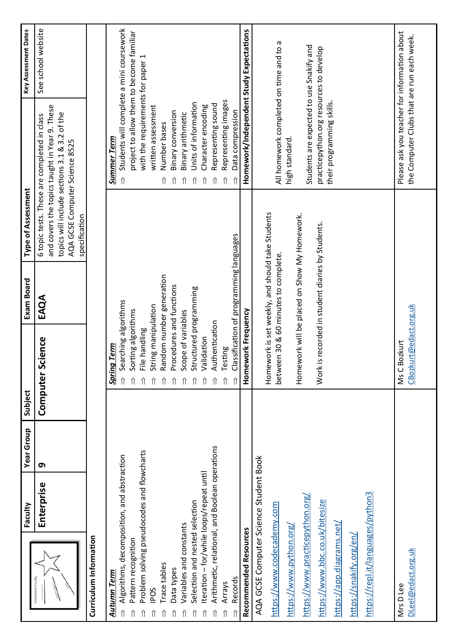|                                                | Faculty    | <b>Year Group</b> | Subject                  | Exam Board                                                                              | Type of Assessment                              |                                                                                                                                               | Key Assessment Dates |
|------------------------------------------------|------------|-------------------|--------------------------|-----------------------------------------------------------------------------------------|-------------------------------------------------|-----------------------------------------------------------------------------------------------------------------------------------------------|----------------------|
| Enterprise Faculty                             | Enterprise | ෨                 | Science<br>Computer      | EAQA                                                                                    | AQA GCSE Computer Science 8525<br>specification | and covers the topics taught in Year 9. These<br>topics will include sections 3.1 & 3.2 of the<br>6 topic tests. These are completed in class | See school website   |
| Curriculum Information                         |            |                   |                          |                                                                                         |                                                 |                                                                                                                                               |                      |
| <u>Autumn Term</u>                             |            |                   | <u>Spring Term</u>       |                                                                                         |                                                 | <u>Summer Term</u>                                                                                                                            |                      |
| Algorithms, decomposition, and abstraction     |            |                   | Searching algorithms     |                                                                                         |                                                 | Students will complete a mini coursework<br>⇑                                                                                                 |                      |
| Pattern recognition                            |            |                   | Sorting algorithms       |                                                                                         |                                                 | project to allow them to become familiar                                                                                                      |                      |
| Problem solving pseudocodes and flowcharts     |            |                   | File handling            |                                                                                         |                                                 | with the requirements for paper 1                                                                                                             |                      |
| <b>IPOS</b>                                    |            |                   | String manipulation      |                                                                                         |                                                 | written assessment                                                                                                                            |                      |
| Trace tables                                   |            |                   |                          | andom number generation                                                                 |                                                 | Number bases<br>⇑                                                                                                                             |                      |
| Data types                                     |            |                   | Procedures and functions |                                                                                         |                                                 | Binary conversion                                                                                                                             |                      |
| Variables and constants                        |            |                   | cope of variables        |                                                                                         |                                                 | Binary arithmetic                                                                                                                             |                      |
| Selection and nested selection                 |            |                   | tructured programming    |                                                                                         |                                                 | Units of information                                                                                                                          |                      |
| Iteration - for/while loops/repeat until       |            |                   | alidation                |                                                                                         |                                                 | Character encoding                                                                                                                            |                      |
| Arithmetic, relational, and Boolean operations |            |                   | uthentication            |                                                                                         |                                                 | Representing sound                                                                                                                            |                      |
| Arrays                                         |            |                   | Testing                  |                                                                                         |                                                 | Representing images                                                                                                                           |                      |
| Records                                        |            |                   |                          | Classification of programming languages                                                 |                                                 | Data compression                                                                                                                              |                      |
| Recommended Resources                          |            |                   | Homework Frequency       |                                                                                         |                                                 | Homework/Independent Study Expectations                                                                                                       |                      |
| AQA GCSE Computer Science Student Book         |            |                   |                          |                                                                                         |                                                 |                                                                                                                                               |                      |
| https://www.codecademy.com                     |            |                   |                          | Homework is set weekly, and should take Students<br>between 30 & 60 minutes to complete |                                                 | All homework completed on time and to a                                                                                                       |                      |
| https://www.python.org,                        |            |                   |                          |                                                                                         |                                                 | high standard                                                                                                                                 |                      |
| https://www.practicepython.org/                |            |                   |                          | Homework will be placed on Show My Homework.                                            |                                                 |                                                                                                                                               |                      |
|                                                |            |                   |                          |                                                                                         |                                                 | Students are expected to use Snakify and                                                                                                      |                      |
| https://www.bbc.co.uk/bitesize                 |            |                   |                          | Work is recorded in student diaries by Students.                                        |                                                 | practicepython.org resources to develop<br>their programming skills.                                                                          |                      |
| https://app.diagrams.net,                      |            |                   |                          |                                                                                         |                                                 |                                                                                                                                               |                      |
| https://snakify.org/en/                        |            |                   |                          |                                                                                         |                                                 |                                                                                                                                               |                      |
| https://repl.it/languages/python3              |            |                   |                          |                                                                                         |                                                 |                                                                                                                                               |                      |
|                                                |            |                   |                          |                                                                                         |                                                 |                                                                                                                                               |                      |
| Mrs D Lee                                      |            |                   | Bozkurt<br>Ms C          |                                                                                         |                                                 | Please ask you teacher for information about                                                                                                  |                      |
| DLeel@edact.org.uk                             |            |                   | CBozkurt@edact.org.uk    |                                                                                         |                                                 | the Computer Clubs that are run each week.                                                                                                    |                      |
|                                                |            |                   |                          |                                                                                         |                                                 |                                                                                                                                               |                      |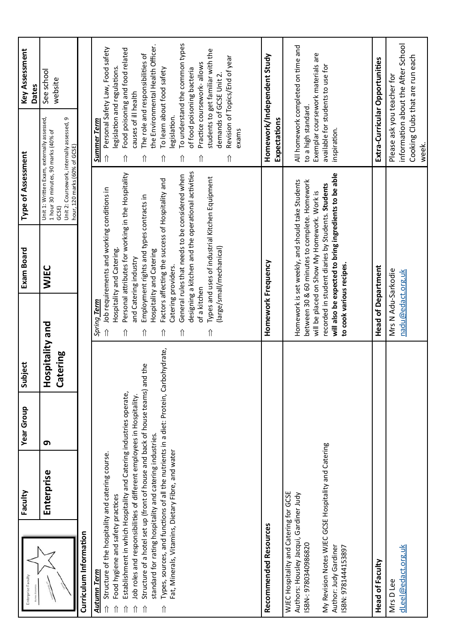| Enterprise Faculty                                                                                                                           | Faculty    | <b>Year Group</b> | Subject         | Exam Board                                                                                                 | Type of Assessment                                                                         |                                                   | <b>Key Assessment</b>                                                 |  |
|----------------------------------------------------------------------------------------------------------------------------------------------|------------|-------------------|-----------------|------------------------------------------------------------------------------------------------------------|--------------------------------------------------------------------------------------------|---------------------------------------------------|-----------------------------------------------------------------------|--|
|                                                                                                                                              |            |                   |                 |                                                                                                            |                                                                                            |                                                   | <b>Dates</b>                                                          |  |
|                                                                                                                                              | Enterprise | თ                 | Hospitality and | <b>WJEC</b>                                                                                                | Unit 1: Written Exam, externally assessed,<br>1 hour 30 minutes, 90 marks (40% of<br>GCSE) |                                                   | See school<br>website                                                 |  |
|                                                                                                                                              |            |                   | Catering        |                                                                                                            | Unit 2: Coursework, internally assessed, 9<br>hour, 120 marks (60% of GCSE)                |                                                   |                                                                       |  |
| Curriculum Information                                                                                                                       |            |                   |                 |                                                                                                            |                                                                                            |                                                   |                                                                       |  |
| <u>Autumn Term</u>                                                                                                                           |            |                   |                 | Spring Term                                                                                                |                                                                                            | <b>Summer Term</b>                                |                                                                       |  |
| Structure of the hospitality and catering course.                                                                                            |            |                   | ⇑               | Job requirements and working conditions in                                                                 |                                                                                            | ⇑                                                 | Personal Safety Law, Food safety                                      |  |
| Food hygiene and safety practices                                                                                                            |            |                   |                 | Hospitality and Catering.                                                                                  |                                                                                            | legislation and regulations.                      |                                                                       |  |
| Establishment in which Hospitality and Catering industries operate,<br>Job roles and responsibilities of different employees in Hospitality. |            |                   | ⇑               | Personal attributes for working in the Hospitality<br>and Catering industry                                |                                                                                            | causes of ill health<br>⇑                         | Food poisoning and food related                                       |  |
| Structure of a hotel set up (front of house and back of house teams) and the<br>standard for rating hospitality and catering industries.     |            |                   | ⇑               | Employment rights and types contracts in<br>Hospitality and Catering                                       |                                                                                            | ⇑                                                 | the Environmental Health Officer.<br>The role and responsibilities of |  |
| Types, sources, and functions of all the nutrients in a diet: Protein, Carbohydrate,<br>⇑                                                    |            |                   | ⇑               | Factors affecting the success of Hospitality and                                                           |                                                                                            | To learn about food safety<br>⇑                   |                                                                       |  |
| Fat, Minerals, Vitamins, Dietary Fibre, and water                                                                                            |            |                   | ⇑               | General rules that needs to be considered when<br>Catering providers.                                      |                                                                                            | legislation.<br>⇑                                 | To understand the common types                                        |  |
|                                                                                                                                              |            |                   |                 | designing a kitchen and the operational activities                                                         |                                                                                            | of food poisoning bacteria                        |                                                                       |  |
|                                                                                                                                              |            |                   |                 | of a kitchen                                                                                               |                                                                                            | ⇑                                                 | Practice coursework-allows                                            |  |
|                                                                                                                                              |            |                   | $\hat{\Pi}$     | Types and uses of industrial Kitchen Equipment                                                             |                                                                                            | demands of GCSE Unit 2.                           | students to get familiar with the                                     |  |
|                                                                                                                                              |            |                   |                 | (large/small/mechanical)                                                                                   |                                                                                            | $\hat{\Pi}$                                       | Revision of Topics/End of year                                        |  |
|                                                                                                                                              |            |                   |                 |                                                                                                            |                                                                                            | exams                                             |                                                                       |  |
|                                                                                                                                              |            |                   |                 |                                                                                                            |                                                                                            |                                                   |                                                                       |  |
| Recommended Resources                                                                                                                        |            |                   |                 | Homework Frequency                                                                                         |                                                                                            | Homework/Independent Study                        |                                                                       |  |
| WJEC Hospitality and Catering for GCSE                                                                                                       |            |                   |                 |                                                                                                            |                                                                                            | Expectations                                      |                                                                       |  |
| Authors: Housley Jacqui, Gardiner Judy                                                                                                       |            |                   |                 | Homework is set weekly, and should take Students                                                           |                                                                                            |                                                   | All homework completed on time and                                    |  |
| ISBN-: 9780340986820                                                                                                                         |            |                   |                 | between 30 & 60 minutes to complete. Homework                                                              |                                                                                            | to a high standard.                               |                                                                       |  |
|                                                                                                                                              |            |                   |                 | will be placed on Show My Homework. Work is                                                                |                                                                                            | Exemplar coursework materials are                 |                                                                       |  |
| My Revision Notes WJEC GCSE Hospitality and Catering<br>Author: Judy Gardiner                                                                |            |                   |                 | will also be expected to bring ingredients to be able<br>recorded in student diaries by Students. Students |                                                                                            | available for students to use for<br>inspiration. |                                                                       |  |
| ISBN: 9781444153897                                                                                                                          |            |                   |                 | to cook various recipes                                                                                    |                                                                                            |                                                   |                                                                       |  |
|                                                                                                                                              |            |                   |                 |                                                                                                            |                                                                                            |                                                   |                                                                       |  |
| Head of Faculty                                                                                                                              |            |                   |                 | <b>Head of Department</b>                                                                                  |                                                                                            | Extra-Curricular Opportunities                    |                                                                       |  |
| Mrs D Lee                                                                                                                                    |            |                   |                 | Mrs N Adu-Sarkodie                                                                                         |                                                                                            | Please ask you teacher for                        |                                                                       |  |
| dLeel@edact.org.uk                                                                                                                           |            |                   |                 | nadu@edact.org.uk                                                                                          |                                                                                            |                                                   | information about the After School                                    |  |
|                                                                                                                                              |            |                   |                 |                                                                                                            |                                                                                            | Cooking Clubs that are run each<br>week.          |                                                                       |  |
|                                                                                                                                              |            |                   |                 |                                                                                                            |                                                                                            |                                                   |                                                                       |  |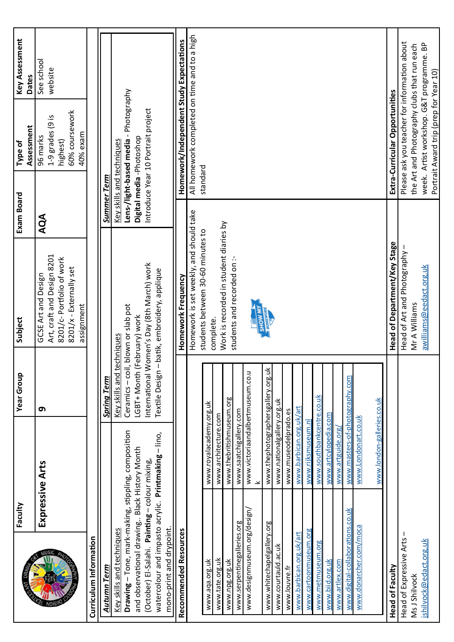<span id="page-8-0"></span>

|                                                | Faculty                                                                                              | Year Group                       | Subject                                                                                                  | Exam Board                | Assessment<br>Type of                                                              | <b>Key Assessment</b><br>Dates |
|------------------------------------------------|------------------------------------------------------------------------------------------------------|----------------------------------|----------------------------------------------------------------------------------------------------------|---------------------------|------------------------------------------------------------------------------------|--------------------------------|
|                                                | Expressive Arts                                                                                      | თ                                | Art, craft and Design 8201<br>8201/c-Portfolio of work<br>8201/x - Externally set<br>GCSE Art and Design | AQA                       | 60% coursework<br>1-9 grades (9 is<br>96 marks<br>highest)                         | See school<br>website          |
|                                                |                                                                                                      |                                  | assignment                                                                                               |                           | 40% exam                                                                           |                                |
| Curriculum Information                         |                                                                                                      |                                  |                                                                                                          |                           |                                                                                    |                                |
| <u>Autumn Term</u>                             |                                                                                                      | <b>Spring Term</b>               |                                                                                                          | <u>Summer Term</u>        |                                                                                    |                                |
| Key skills and techniques                      |                                                                                                      | Key skills and techniques        |                                                                                                          | Key skills and techniques |                                                                                    |                                |
|                                                | Drawing - Tone, mark-making, stippling, composition<br>and observational drawing Black History Month | Ceramics - coil<br>LGBT+ Month ( | , blown or slab pot<br>February) work                                                                    |                           | Lens-/light-based media - Photography<br>Digital media -Photoshop                  |                                |
| (October) El-Salahi. Painting - colour mixing, |                                                                                                      |                                  | International Women's Day (8th March) work                                                               |                           | Introduce Year 10 Portrait project                                                 |                                |
| mono-print and drypoint.                       | watercolour and impasto acrylic. Printmaking - lino,                                                 |                                  | Textile Design - batik, embroidery, applique                                                             |                           |                                                                                    |                                |
| Recommended Resources                          |                                                                                                      |                                  | Homework Frequency                                                                                       |                           | Homework/Independent Study Expectations                                            |                                |
|                                                |                                                                                                      |                                  | Homework is set weekly, and should take                                                                  |                           | All homework completed on time and to a high                                       |                                |
| www.aqa.org.uk                                 | www.royalacademy.org.uk                                                                              |                                  | students between 30-60 minutes to<br>complete.                                                           |                           | standard                                                                           |                                |
| www.tate.org.uk                                | www.architecture.com                                                                                 |                                  | Work is recorded in student diaries by                                                                   |                           |                                                                                    |                                |
| www.npg.org.uk                                 | www.thebritishmuseum.org                                                                             |                                  | students and recorded on :-                                                                              |                           |                                                                                    |                                |
| www.serpentinegalleries.org                    | www.saatchigallery.com                                                                               |                                  |                                                                                                          |                           |                                                                                    |                                |
| www.designmuseum.org/design/                   | www.victoriaandalbertmuseum.co.u                                                                     |                                  | <b>SHOW MY</b>                                                                                           |                           |                                                                                    |                                |
| www.whitechapelgallery.org                     | www.thephotographersgallery.org.uk                                                                   |                                  |                                                                                                          |                           |                                                                                    |                                |
| www.courtauld.ac.uk                            | www.nationalgallery.org.uk                                                                           |                                  |                                                                                                          |                           |                                                                                    |                                |
| www.louvre.fr                                  | www.museodelprado.es                                                                                 |                                  |                                                                                                          |                           |                                                                                    |                                |
| www.barbican.org.uk/art                        | www.barbican.org.uk/art                                                                              |                                  |                                                                                                          |                           |                                                                                    |                                |
| www.cartoonmuseum.org                          | www.rijksmuseum.nl                                                                                   |                                  |                                                                                                          |                           |                                                                                    |                                |
| www.metmuseum.org                              | www.southbankcentre.co.uk                                                                            |                                  |                                                                                                          |                           |                                                                                    |                                |
| www.biid.org.uk                                | www.artcylopedia.com                                                                                 |                                  |                                                                                                          |                           |                                                                                    |                                |
| www.artlex.com                                 | www.artguide.org                                                                                     |                                  |                                                                                                          |                           |                                                                                    |                                |
| www.digital-collaborations.co.uk               | www.masters-of-photography.com                                                                       |                                  |                                                                                                          |                           |                                                                                    |                                |
| www.donarcher.com/moca                         | www.Londonart.co.uk                                                                                  |                                  |                                                                                                          |                           |                                                                                    |                                |
|                                                | www.london-galleries.co.uk                                                                           |                                  |                                                                                                          |                           |                                                                                    |                                |
| Head of Faculty                                |                                                                                                      |                                  | Head of Department/Key Stage                                                                             |                           | Extra-Curricular Opportunities                                                     |                                |
| Head of Expressive Arts                        |                                                                                                      |                                  | Head of Art and Photography                                                                              |                           | Please ask you teacher for information about                                       |                                |
| Ms J Shilvock                                  |                                                                                                      |                                  | Mr A Williams                                                                                            |                           | the Art and Photography clubs that run each                                        |                                |
| jshilvock@edact.org.uk                         |                                                                                                      |                                  | <u>awilliams@eedact.org.uk</u>                                                                           |                           | week. Artist workshop. G&T programme. BP<br>Portrait Award trip (prep for Year 10) |                                |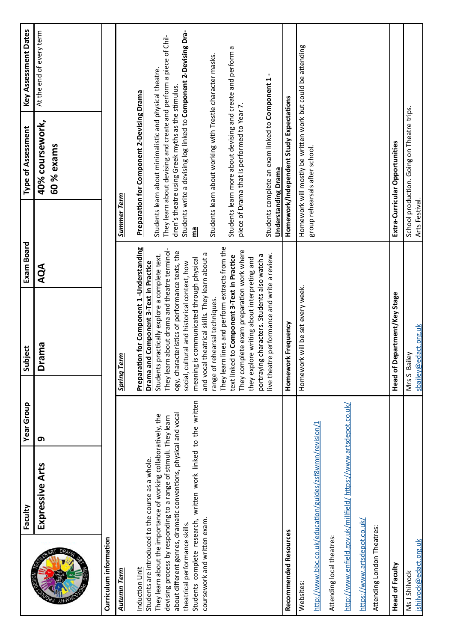|                                                   | Faculty                                                                                                                              | <b>Year Group</b> | Subject                                                                                        | Exam Board   | Type of Assessment                                                                                                           | Key Assessment Dates     |
|---------------------------------------------------|--------------------------------------------------------------------------------------------------------------------------------------|-------------------|------------------------------------------------------------------------------------------------|--------------|------------------------------------------------------------------------------------------------------------------------------|--------------------------|
|                                                   | Expressive Arts                                                                                                                      | თ                 | eulej<br>$\mathbf{\Omega}$                                                                     | AQA          | 40% coursework,<br>60 % exams                                                                                                | At the end of every term |
| Curriculum information                            |                                                                                                                                      |                   |                                                                                                |              |                                                                                                                              |                          |
| <u>Autumn Term</u>                                |                                                                                                                                      |                   | Term<br>Spring 1                                                                               |              | <b>Summer Term</b>                                                                                                           |                          |
| Induction Unit                                    |                                                                                                                                      |                   | <b>Preparation for Component 1 - Understanding</b>                                             |              | <b>Preparation for Component 2-Devising Drama</b>                                                                            |                          |
| Students are introduced to the course as a whole. |                                                                                                                                      |                   | Drama and Component 3-Text in Practice                                                         |              |                                                                                                                              |                          |
|                                                   | They learn about the importance of working collaboratively, the                                                                      |                   | Students practically explore a complete text.                                                  |              | They learn about devising and create and perform a piece of Chil-<br>Students learn about minimalistic and physical theatre. |                          |
|                                                   | about different genres, dramatic conventions, physical and vocal<br>devising process by responding to a range of stimuli. They learn |                   | They learn about drama and theatre terminol-<br>ogy, characteristics of performance texts, the |              | dren's theatre using Greek myths as the stimulus.                                                                            |                          |
| theatrical performance skills.                    |                                                                                                                                      |                   | social, cultural and historical context, how                                                   |              | Students write a devising log linked to <b>Component 2-Devising Dra-</b>                                                     |                          |
| coursework and written exam                       | Students complete research, written work linked to the written                                                                       |                   | and vocal theatrical skills. They learn about a<br>meaning is communicated through physical    | $\mathbf{E}$ |                                                                                                                              |                          |
|                                                   |                                                                                                                                      |                   | range of rehearsal techniques.                                                                 |              | Students learn about working with Trestle character masks.                                                                   |                          |
|                                                   |                                                                                                                                      |                   | They learn lines and perform extracts from the                                                 |              |                                                                                                                              |                          |
|                                                   |                                                                                                                                      |                   | text linked to Component 3-Text in Practice                                                    |              | Students learn more about devising and create and perform a                                                                  |                          |
|                                                   |                                                                                                                                      |                   | They complete exam preparation work where                                                      |              | piece of Drama that is performed to Year 7.                                                                                  |                          |
|                                                   |                                                                                                                                      |                   | they explore writing about interpreting and                                                    |              |                                                                                                                              |                          |
|                                                   |                                                                                                                                      |                   | portraying characters. Students also watch a                                                   |              |                                                                                                                              |                          |
|                                                   |                                                                                                                                      |                   | live theatre performance and write a review.                                                   |              | Students complete an exam linked to Component 1<br><b>Understanding Drama</b>                                                |                          |
| Recommended Resources                             |                                                                                                                                      |                   | Homework Frequency                                                                             |              | Homework/Independent Study Expectations                                                                                      |                          |
| Websites:                                         |                                                                                                                                      |                   | Homework will be set every week.                                                               |              | Homework will mostly be written work but could be attending                                                                  |                          |
|                                                   | http://www.bbc.co.uk/education/guides/zsf8wmn/revision/1                                                                             |                   |                                                                                                |              | group rehearsals after school.                                                                                               |                          |
|                                                   |                                                                                                                                      |                   |                                                                                                |              |                                                                                                                              |                          |
| Attending local theatres:                         |                                                                                                                                      |                   |                                                                                                |              |                                                                                                                              |                          |
|                                                   | http://www.enfield.gov.uk/millfield/ https://www.artsdepot.co.uk/                                                                    |                   |                                                                                                |              |                                                                                                                              |                          |
| https://www.artsdepot.co.uk/                      |                                                                                                                                      |                   |                                                                                                |              |                                                                                                                              |                          |
| Attending London Theatres:                        |                                                                                                                                      |                   |                                                                                                |              |                                                                                                                              |                          |
| <b>Head of Faculty</b>                            |                                                                                                                                      |                   | Department/Key Stage<br>Head of                                                                |              | Extra-Curricular Opportunities                                                                                               |                          |
| Ms J Shilvock                                     |                                                                                                                                      |                   | Mrs S Bailey                                                                                   |              | School production. Going on Theatre trips.                                                                                   |                          |
| jshilvock@edact.org.uk                            |                                                                                                                                      |                   | sbailey@edact.org.uk                                                                           |              | Arts Festival                                                                                                                |                          |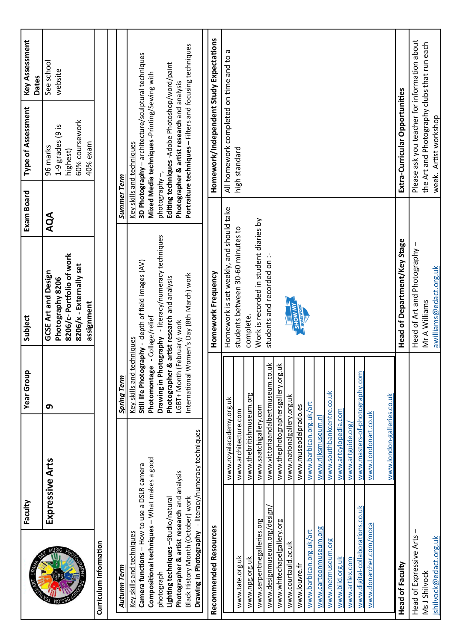<span id="page-10-0"></span>

|                                                                                   | Faculty                                               | <b>Year Group</b>                     | Subject                                                                                                             | Exam Board         | Type of Assessment                                                                                      | <b>Key Assessment</b><br>Dates |
|-----------------------------------------------------------------------------------|-------------------------------------------------------|---------------------------------------|---------------------------------------------------------------------------------------------------------------------|--------------------|---------------------------------------------------------------------------------------------------------|--------------------------------|
| N <sub>51</sub>                                                                   | Expressive Arts                                       | ෨                                     | 8206/c-Portfolio of work<br>8206/x - Externally set<br><b>GCSE Art and Design</b><br>Photography 8206<br>assignment | AQA                | 60% coursework<br>1-9 grades (9 is<br>40% exam<br>96 marks<br>highest)                                  | See school<br>website          |
| Curriculum Information                                                            |                                                       |                                       |                                                                                                                     |                    |                                                                                                         |                                |
|                                                                                   |                                                       |                                       |                                                                                                                     |                    |                                                                                                         |                                |
| Autumn Term                                                                       |                                                       | <b>Spring Term</b>                    |                                                                                                                     | <b>Summer Term</b> |                                                                                                         |                                |
| Camera functions - How to use a DSLR camera<br>Key skills and techniques          |                                                       | techniques<br>Key skills and          | Still life Photography - depth of field images (AV)                                                                 |                    | 3D Photography - architecture/sculptural techniques<br>Key skills and techniques                        |                                |
| Compositional techniques - What makes a good<br>photograph                        |                                                       | Drawing in Photography<br>Photomontag | -literacy/numeracy techniques<br>e - Collage/relief                                                                 | photography-,      | Mixed Media techniques - Printing/Sewing with                                                           |                                |
| Lighting techniques -Studio/natural                                               |                                                       | Photographer                          | · & artist research and analysis                                                                                    |                    | Editing techniques -Adobe Photoshop/word/paint                                                          |                                |
| Photographer & artist research and analysis<br>Black History Month (October) work | Drawing in Photography - literacy/numeracy techniques | LGBT+ Month (February) work           | International Women's Day (8th March) work                                                                          |                    | Portraiture techniques - Filters and focusing techniques<br>Photographer & artist research and analysis |                                |
|                                                                                   |                                                       |                                       |                                                                                                                     |                    |                                                                                                         |                                |
| Recommended Resources                                                             |                                                       |                                       | Homework Frequency                                                                                                  |                    | Homework/Independent Study Expectations                                                                 |                                |
|                                                                                   | www.royalacademy.org.uk                               |                                       | Homework is set weekly, and should take                                                                             |                    | All homework completed on time and to a                                                                 |                                |
| www.tate.org.uk                                                                   | www.architecture.com                                  |                                       | students between 30-60 minutes to                                                                                   |                    | high standard                                                                                           |                                |
| www.npg.org.uk                                                                    | www.thebritishmuseum.org                              |                                       | complete.                                                                                                           |                    |                                                                                                         |                                |
| www.serpentinegalleries.org                                                       | www.saatchigallery.com                                |                                       | Work is recorded in student diaries by                                                                              |                    |                                                                                                         |                                |
| www.designmuseum.org/design/                                                      | www.victoriaandalbertmuseum.co.                       | さ                                     | students and recorded on :-                                                                                         |                    |                                                                                                         |                                |
| www.whitechapelgallery.org                                                        | www.thephotographersgallery.org.                      | $\breve{\exists}$                     |                                                                                                                     |                    |                                                                                                         |                                |
| www.courtauld.ac.uk                                                               | www.nationalgallery.org.uk                            |                                       |                                                                                                                     |                    |                                                                                                         |                                |
| www.louvre.fr                                                                     | www.museodelprado.es                                  |                                       |                                                                                                                     |                    |                                                                                                         |                                |
| www.barbican.org.uk/art                                                           | www.barbican.org.uk/art                               |                                       |                                                                                                                     |                    |                                                                                                         |                                |
| www.cartoonmuseum.org                                                             | www.rijksmuseum.nl                                    |                                       |                                                                                                                     |                    |                                                                                                         |                                |
| www.metmuseum.org                                                                 | www.southbankcentre.co.uk                             |                                       |                                                                                                                     |                    |                                                                                                         |                                |
| www.biid.org.uk                                                                   | www.artcylopedia.com                                  |                                       |                                                                                                                     |                    |                                                                                                         |                                |
| www.artlex.com                                                                    | www.artguide.org/                                     |                                       |                                                                                                                     |                    |                                                                                                         |                                |
| www.digital-collaborations.co.uk                                                  | www.masters-of-photography.com                        |                                       |                                                                                                                     |                    |                                                                                                         |                                |
| www.donarcher.com/moca                                                            | www.Londonart.co.uk                                   |                                       |                                                                                                                     |                    |                                                                                                         |                                |
|                                                                                   | www.london-galleries.co.uk                            |                                       |                                                                                                                     |                    |                                                                                                         |                                |
| Head of Faculty                                                                   |                                                       |                                       | Head of Department/Key Stage                                                                                        |                    | Extra-Curricular Opportunities                                                                          |                                |
| Head of Expressive Arts-                                                          |                                                       |                                       | Head of Art and Photography                                                                                         |                    | Please ask you teacher for information about                                                            |                                |
| Ms J Shilvock                                                                     |                                                       |                                       | Mr A Williams                                                                                                       |                    | the Art and Photography clubs that run each                                                             |                                |
| jshilvock@edact.org.uk                                                            |                                                       |                                       | awilliams@edact.org.uk                                                                                              |                    | week. Artist workshop                                                                                   |                                |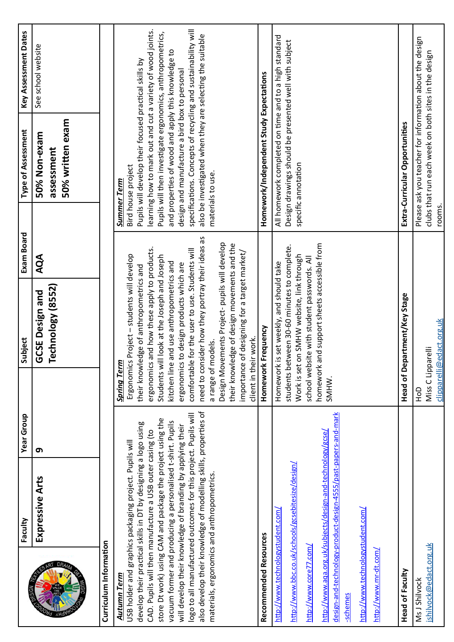|                                   | Faculty                                                                                                                            | <b>Year Group</b> | Subject                                                                                            | Exam Board | Type of Assessment                                                                                                         | Key Assessment Dates |
|-----------------------------------|------------------------------------------------------------------------------------------------------------------------------------|-------------------|----------------------------------------------------------------------------------------------------|------------|----------------------------------------------------------------------------------------------------------------------------|----------------------|
| DR.                               | Expressive Arts                                                                                                                    | Ō                 | Technology (8552)<br><b>GCSE</b> Design and                                                        | AQA        | 50% written exam<br>50% Non-exam<br>assessment                                                                             | See school website   |
| Curriculum Information            |                                                                                                                                    |                   |                                                                                                    |            |                                                                                                                            |                      |
| Autumn Term                       |                                                                                                                                    |                   | <b>Spring Term</b>                                                                                 |            | <b>Summer Term</b>                                                                                                         |                      |
|                                   | develop their practical skills in DT by designing a logo using<br>USB holder and graphics packaging project. Pupils will           |                   | Ergonomics Project - students will develop<br>their knowledge of anthropometrics and               |            | Pupils will develop their focused practical skills by<br>Bird house project                                                |                      |
|                                   | CAD. Pupils will then manufacture a USB outer casing (to                                                                           |                   | ergonomics and how these apply to products.                                                        |            | learning how to mark out and cut a variety of wood joints.                                                                 |                      |
|                                   | store Dt work) using CAM and package the project using the<br>vacuum former and producing a personalised t-shirt. Pupils           |                   | Students will look at the Joseph and Joseph<br>kitchen line and use anthropometrics and            |            | Pupils will then investigate ergonomics, anthropometrics,<br>and properties of wood and apply this knowledge to            |                      |
|                                   | will develop their knowledge of branding by applying their                                                                         |                   | ergonomics to design products which are                                                            |            | design and manufacture a bird box to personal                                                                              |                      |
|                                   | also develop their knowledge of modelling skills, properties of<br>logo to all manufactured outcomes for this project. Pupils will |                   | need to consider how they portray their ideas as<br>comfortable for the user to use. Students will |            | specifications. Concepts of recycling and sustainability will<br>also be investigated when they are selecting the suitable |                      |
|                                   | materials, ergonomics and anthropometrics.                                                                                         |                   | models.<br>a range of                                                                              |            | materials to use.                                                                                                          |                      |
|                                   |                                                                                                                                    |                   | Design Movements Project- pupils will develop                                                      |            |                                                                                                                            |                      |
|                                   |                                                                                                                                    |                   | their knowledge of design movements and the<br>importance of designing for a target market/        |            |                                                                                                                            |                      |
|                                   |                                                                                                                                    |                   | client in their work.                                                                              |            |                                                                                                                            |                      |
| Recommended Resources             |                                                                                                                                    |                   | Homework Frequency                                                                                 |            | Homework/Independent Study Expectations                                                                                    |                      |
| http://www.technologystudent.com/ |                                                                                                                                    |                   | Homework is set weekly, and should take                                                            |            | All homework completed on time and to a high standard                                                                      |                      |
|                                   | http://www.bbc.co.uk/schools/gcsebitesize/design/                                                                                  |                   | students between 30-60 minutes to complete.<br>Work is set on SMHW website, link through           |            | Design drawings should be presented well with subject<br>specific annotation                                               |                      |
| http://www.core77.com/            |                                                                                                                                    |                   | school website with student passwords. All                                                         |            |                                                                                                                            |                      |
|                                   | http://www.aqa.org.uk/subjects/design-and-technology/gcse/                                                                         |                   | and support sheets accessible from<br>homework                                                     |            |                                                                                                                            |                      |
|                                   | design-and-technology-product-design-4555/past-papers-and-mark                                                                     |                   | SMHW.                                                                                              |            |                                                                                                                            |                      |
| -schemes                          |                                                                                                                                    |                   |                                                                                                    |            |                                                                                                                            |                      |
| http://www.technologystudent.com/ |                                                                                                                                    |                   |                                                                                                    |            |                                                                                                                            |                      |
| http://www.mr-dt.com/             |                                                                                                                                    |                   |                                                                                                    |            |                                                                                                                            |                      |
|                                   |                                                                                                                                    |                   |                                                                                                    |            |                                                                                                                            |                      |
| Head of Faculty                   |                                                                                                                                    |                   | Head of Department/Key Stage                                                                       |            | Extra-Curricular Opportunities                                                                                             |                      |
| Ms J Shilvock                     |                                                                                                                                    | <b>OOH</b>        |                                                                                                    |            | Please ask you teacher for information about the design                                                                    |                      |
| jshilvock@edact.org.uk            |                                                                                                                                    |                   | clipparelli@edact.org.uk<br>Miss C Lipparelli                                                      | rooms.     | clubs that run each week on both sites in the design                                                                       |                      |
|                                   |                                                                                                                                    |                   |                                                                                                    |            |                                                                                                                            |                      |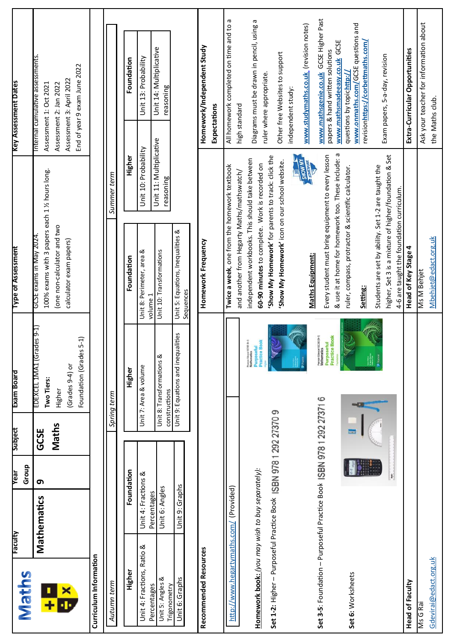| <b>Key Assessment Dates</b> | Internal cumulative assessments. | Assessment 1: Oct 2021                          | Assessment 2: Jan 2022     | Assessment 3: April 2022 | End of year 9 exam June 2022 |                        |             | Foundation<br>Higher | Unit 13: Probability                                          | Unit 14: Multiplicative<br>reasoning<br>Unit 11: Multiplicative |                                                | Homework/Independent Study<br>Expectations | All homework completed on time and to a      | high standard                              | Diagrams must be drawn in pencil, using a<br>ruler where appropriate                              | Other free Websites to support                                    | independent study:                             | www.studymaths.co.uk (revision notes)<br><b>SHOW MY</b><br><b>HOWEWORK</b> | www.mathsgenie.co.uk GCSE Higher Past                             | www.mathsmadeeasy.co.uk GCSE<br>papers & hand written solutions | www.onmaths.com/GCSE questions and<br>questions by topichttp:// | revisionhttps://corbettmaths.com/ |                                                     | Exam papers, 5-a-day, revision                        | Extra-Curricular Opportunities                                   | Ask your teacher for information about<br>the Maths club |
|-----------------------------|----------------------------------|-------------------------------------------------|----------------------------|--------------------------|------------------------------|------------------------|-------------|----------------------|---------------------------------------------------------------|-----------------------------------------------------------------|------------------------------------------------|--------------------------------------------|----------------------------------------------|--------------------------------------------|---------------------------------------------------------------------------------------------------|-------------------------------------------------------------------|------------------------------------------------|----------------------------------------------------------------------------|-------------------------------------------------------------------|-----------------------------------------------------------------|-----------------------------------------------------------------|-----------------------------------|-----------------------------------------------------|-------------------------------------------------------|------------------------------------------------------------------|----------------------------------------------------------|
| Type of Assessment          | GCSE exams in May 2024           | 100% exams with 3 papers each 1 1/2 hours long. | one non-calculator and two | calculator exam papers)  |                              |                        | Summer term | Foundation           | Unit 10: Probability<br>Unit 8: Perimeter, area &<br>volume 1 | reasoning<br>Unit 10: Transformations                           | Unit 5: Equations, Inequalities &<br>Sequences | Homework Frequency                         | Twice a week, one from the homework textbook | and another from Hegarty Maths/mathswatch/ | independent workbooks. This should take between<br>60-90 minutes to complete. Work is recorded on | 'Show My Homework' for parents to track: click the                | 'Show My Homework' icon on our school website. | <b>Maths Equipment:</b>                                                    | Every student must bring equipment to every lesson                | & use it at home for homework too. These include: a             | ruler, compass, protractor & scientific calculator.             | <b>Setting:</b>                   | Students are set by ability. Set 1-2 are taught the | higher, Set 3 is a mixture of higher/foundation & Set | 4-6 are taught the foundation curriculum.<br>Head of Key Stage 4 | Mbehjet@edact.org.uk<br>Ms M Behjet                      |
| Exam Board                  | EDEXCEL 1MA1 (Grades 9-1)        | Two Tiers:                                      | Higher                     | (Grades 9-4) or          | Foundation (Grades 5-1)      |                        | Spring term | Higher               | Unit 7: Area & volume                                         | Unit 8: Transformations &<br>constructions                      | Unit 9: Equations and inequalities             |                                            |                                              | <b>D-43</b>                                | ook<br>Purposeful<br>Practice Bo<br>Pourson Edissoni G<br>Mathematics                             |                                                                   |                                                |                                                                            | GCSE (9-1)<br>Pearson Edencel Gi                                  | Purposeful<br>Practice Book                                     | <b>RATION</b>                                                   |                                   | P Person                                            |                                                       |                                                                  |                                                          |
| Subject<br>Group<br>Year    | GCSE                             |                                                 | <b>Maths</b>               |                          |                              |                        |             |                      |                                                               |                                                                 |                                                |                                            |                                              |                                            |                                                                                                   |                                                                   |                                                |                                                                            |                                                                   |                                                                 |                                                                 |                                   |                                                     | Ŧ                                                     |                                                                  |                                                          |
|                             | G<br>Mathematics                 |                                                 |                            |                          |                              |                        |             | Foundation           | Unit 4: Fractions &<br>Percentages                            | Unit 6: Angles                                                  | Unit 9: Graphs                                 |                                            |                                              |                                            |                                                                                                   |                                                                   |                                                |                                                                            |                                                                   |                                                                 |                                                                 |                                   |                                                     |                                                       |                                                                  |                                                          |
| <b>Faculty</b><br>Maths     |                                  |                                                 |                            |                          |                              | Curriculum Information | Autumn term | Higher               | Unit 4: Fractions, Ratio &<br>Percentages                     | Unit 5: Angles &<br>Trigonometry                                | Unit 6: Graphs                                 | Recommended Resources                      | http://www.hegartymaths.com/ (Provided)      |                                            | Homework book: (you may wish to buy separately):                                                  | Set 1-2: Higher - Purposeful Practice Book ISBN 978 1 292 27370 9 |                                                |                                                                            | Set 3-5: Foundation - Purposeful Practice Book ISBN 9781292273716 |                                                                 | Set 6: Worksheets                                               |                                   |                                                     |                                                       | <b>Head of Faculty</b>                                           | Gdevirai@edact.org.uk<br>Ms G Rai                        |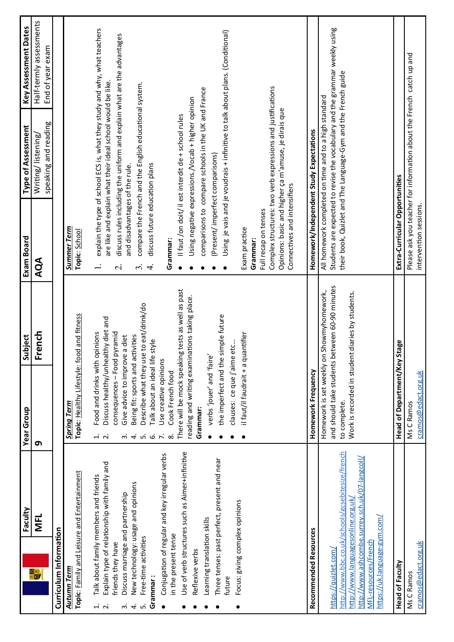|                                                                              | Faculty                                                                               | <b>Year Group</b>                                                                                                                            | Subject                                        | Exam Board                                                               | Type of Assessment                                                                                                                       | Key Assessment Dates    |  |
|------------------------------------------------------------------------------|---------------------------------------------------------------------------------------|----------------------------------------------------------------------------------------------------------------------------------------------|------------------------------------------------|--------------------------------------------------------------------------|------------------------------------------------------------------------------------------------------------------------------------------|-------------------------|--|
|                                                                              | <b>NIEL</b>                                                                           | თ                                                                                                                                            | French                                         | AQA                                                                      | Writing/listening                                                                                                                        | Half-termly assessments |  |
|                                                                              |                                                                                       |                                                                                                                                              |                                                |                                                                          | speaking and reading                                                                                                                     | End of year exam        |  |
| Curriculum Information                                                       |                                                                                       |                                                                                                                                              |                                                |                                                                          |                                                                                                                                          |                         |  |
| Topic: Family and Leisure and Entertainment<br><b>Autumn Term</b>            |                                                                                       | Spring Term<br>Topic: <u>Healthy Lifestyle: food and fitness</u>                                                                             |                                                | Summer Term<br>Topic: School                                             |                                                                                                                                          |                         |  |
| $\frac{1}{2}$ $\frac{1}{2}$                                                  | Explain type of relationship with family and<br>Talk about family members and friends | Discuss healthy/unhealthy diet and<br>Food and drinks with opinions<br>$\frac{1}{2}$ $\frac{1}{2}$                                           |                                                |                                                                          | explain the type of school ECS is, what they study and why, what teachers<br>are like and explain what their ideal school would be like. |                         |  |
| Discuss marriage and partnership<br>friends they have<br>$m \neq$            |                                                                                       | consequences - Food pyramid<br>Give advice to improve a diet<br>ന്                                                                           |                                                | and disadvantages of the rule.<br>$\dot{\sim}$                           | discuss rules including the uniform and explain what are the advantages                                                                  |                         |  |
| New technology: usage and opinions<br>Free-time activities<br>Grammar:<br>ம் |                                                                                       | Describe what they use to eat/drink/do<br>Being fit: sports and activities<br>Talk about an ideal life<br>$\dot{\mathbf{\omega}}$<br>ம்<br>4 | style                                          | discuss future education plans<br>$\dot{\mathfrak{c}}$<br>$\overline{4}$ | compare the French and the English educational system.                                                                                   |                         |  |
| in the present tense                                                         | Conjugation of regular and key irregular verbs                                        | Use creative opinions<br>Cook French food<br>$\mathcal{N}$<br>$\infty$                                                                       |                                                | Grammar:                                                                 |                                                                                                                                          |                         |  |
|                                                                              | Use of verb structures such as Aimer+infinitive                                       | There will be mock speakin                                                                                                                   | g tests as well as past                        |                                                                          | Il faut /on doit/ il est interdit de + school rules                                                                                      |                         |  |
| Reflexive verbs                                                              |                                                                                       | reading and writing examinations taking place.                                                                                               |                                                |                                                                          | Using negative expressions./Vocab + higher opinion                                                                                       |                         |  |
| Learning translation skills                                                  |                                                                                       | Grammar:                                                                                                                                     |                                                |                                                                          | comparisons to compare schools in the UK and France                                                                                      |                         |  |
|                                                                              | Three tenses: past perfect, present and near                                          | verbs 'jouer' and 'faire                                                                                                                     |                                                | (Present/imperfect comparisons)                                          |                                                                                                                                          |                         |  |
| future                                                                       |                                                                                       | the imperfect and the simple future<br>clauses: ce que j'aime                                                                                | etc                                            |                                                                          | Using je vais and je voudrais + infinitive to talk about plans. (Conditional)                                                            |                         |  |
| Focus: giving complex opinions                                               |                                                                                       | il faut/il faudrait + a quantifier                                                                                                           |                                                | Exam practice                                                            |                                                                                                                                          |                         |  |
|                                                                              |                                                                                       |                                                                                                                                              |                                                | Grammar:                                                                 |                                                                                                                                          |                         |  |
|                                                                              |                                                                                       |                                                                                                                                              |                                                | Full recap on tenses                                                     |                                                                                                                                          |                         |  |
|                                                                              |                                                                                       |                                                                                                                                              |                                                |                                                                          | Complex structures: two verb expressions and justifications                                                                              |                         |  |
|                                                                              |                                                                                       |                                                                                                                                              |                                                | Connectives and intensifiers                                             | Opinions: basic and higher ça m'amuse, je dirais que                                                                                     |                         |  |
|                                                                              |                                                                                       |                                                                                                                                              |                                                |                                                                          |                                                                                                                                          |                         |  |
| Recommended Resources                                                        |                                                                                       | Homework Frequency                                                                                                                           |                                                | Homework/Independent Study Expectations                                  |                                                                                                                                          |                         |  |
|                                                                              |                                                                                       | Homework is set weekly on Showmyhomework,                                                                                                    |                                                |                                                                          | All homework completed on time and to a high standard                                                                                    |                         |  |
| https://quizlet.com/                                                         |                                                                                       |                                                                                                                                              | and should take students between 60-90 minutes |                                                                          | Students are expected to revise the vocabulary and the grammar weekly using                                                              |                         |  |
|                                                                              | http://www.bbc.co.uk/schools/gcsebitesize/french                                      | to complete.                                                                                                                                 |                                                |                                                                          | their book, Quizlet and The Language-Gym and the French guide                                                                            |                         |  |
| http://www.languagesonline.org.uk/                                           | http://www.ashcombe.surrey.sch.uk/07-langcoll/                                        | Work is recorded in student diaries by students.                                                                                             |                                                |                                                                          |                                                                                                                                          |                         |  |
| MFL-resources/French                                                         |                                                                                       |                                                                                                                                              |                                                |                                                                          |                                                                                                                                          |                         |  |
| https://uk.language-gym.com/                                                 |                                                                                       |                                                                                                                                              |                                                |                                                                          |                                                                                                                                          |                         |  |
|                                                                              |                                                                                       |                                                                                                                                              |                                                |                                                                          |                                                                                                                                          |                         |  |
| Head of Faculty                                                              |                                                                                       | Head of Department/Key Stage                                                                                                                 |                                                | Extra-Curricular Opportunities                                           |                                                                                                                                          |                         |  |
| Ms C Ramos                                                                   |                                                                                       | Ms C Ramos                                                                                                                                   |                                                |                                                                          | Please ask you teacher for information about the French catch up and                                                                     |                         |  |
| cramos@edact.org.uk                                                          |                                                                                       | cramos@edact.org.uk                                                                                                                          |                                                | intervention sessions.                                                   |                                                                                                                                          |                         |  |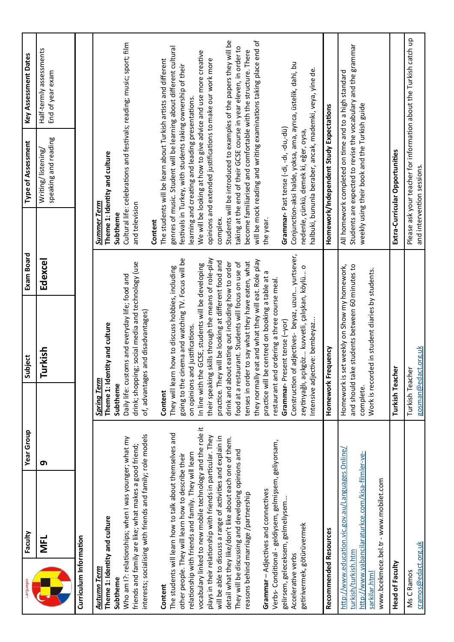| Languages                                                | Faculty                                                                                                                                                                                    | Year Group                     | Subject                                                                                                                                                                                                                                                                     | Exam Board | Type of Assessment                                                                                                                                                                                                                                                             | Key Assessment Dates                        |
|----------------------------------------------------------|--------------------------------------------------------------------------------------------------------------------------------------------------------------------------------------------|--------------------------------|-----------------------------------------------------------------------------------------------------------------------------------------------------------------------------------------------------------------------------------------------------------------------------|------------|--------------------------------------------------------------------------------------------------------------------------------------------------------------------------------------------------------------------------------------------------------------------------------|---------------------------------------------|
|                                                          | <b>NIFL</b>                                                                                                                                                                                | ෨                              | Turkish                                                                                                                                                                                                                                                                     | Edexcel    | speaking and reading<br>Writing/listening,                                                                                                                                                                                                                                     | Half-termly assessments<br>End of year exam |
| Curriculum Information                                   |                                                                                                                                                                                            |                                |                                                                                                                                                                                                                                                                             |            |                                                                                                                                                                                                                                                                                |                                             |
| Theme 1: Identity and culture<br>Autumn Term<br>Subtheme | interests; socialising with friends and family; role models<br>Who am I?: relationships; when I was younger; what my<br>friends and family are like; what makes a good friend;             | <b>Spring Term</b><br>Subtheme | drink; shopping; social media and technology (use<br>Daily life: customs and everyday life; food and<br>of, advantages and disadvantages)<br>Theme 1: Identity and culture                                                                                                  | Subtheme   | Cultural life: celebrations and festivals; reading; music; sport; film<br>Theme 1: Identity and culture<br>Summer Term<br>and television                                                                                                                                       |                                             |
| Content                                                  |                                                                                                                                                                                            | Content                        |                                                                                                                                                                                                                                                                             | Content    | The students will be learn about Turkish artists and different                                                                                                                                                                                                                 |                                             |
|                                                          | The students will learn how to talk about themselves and<br>relationship with friends and family. They will learn<br>other people. They will learn how to describe their                   |                                | going to the cinema and watching TV. Focus will be<br>They will learn how to discuss hobbies, including<br>on opinions and justifications.                                                                                                                                  |            | genres of music. Student will be learning about different cultural<br>festivals in Turkey, with students taking ownership of their<br>learning and creating and leading presentations.                                                                                         |                                             |
|                                                          | vocabulary linked to new mobile technology and the role it<br>plays in their relationship with friends in particular. They<br>will be able to discuss a range of activities and explain in |                                | their speaking skills through the means of role-play<br>practice. They will be looking at different food and<br>In line with the GCSE, students will be developing                                                                                                          | complex.   | We will be looking at how to give advice and use more creative<br>opinions and extended justifications to make our work more                                                                                                                                                   |                                             |
|                                                          | detail what they like/don't like about each one of them.<br>They will be discussing and developing opinions and<br>reasons behind marriage/partnership                                     |                                | they normally eat and what they will eat. Role play<br>tenses in order to say what they have eaten, what<br>drink and about eating out including how to order<br>food at a restaurant. Students will focus on use of                                                        |            | will be mock reading and writing examinations taking place end of<br>Students will be introduced to examples of the papers they will be<br>taking at the end of their GCSE course in year eleven, in order to<br>become familiarised and comfortable with the structure. There |                                             |
| getirivermek, götürüvermek<br>Accelerative verbs         | Verbs- Conditional - geldiysem, gelmişsem, geliyorsam,<br>Grammar - Adjectives and connectives<br>gelirsem, geleceksem, gelmeliysem                                                        |                                | Construction of adjectives- beyaz, uzun yurtsever,<br>zeytinyağlı, açıkgöz kuvvetli, çalışkan, köylü o<br>practice will be centred on booking a table at a<br>restaurant and ordering a three course meal.<br>Grammar-Present tense (-yor)<br>Intensive adjective: bembeyaz | the year.  | Conjunction-aksi halde, yoksa, ama, ayrıca, üstelik, dahi, bu<br>halbuki, bununla beraber, ancak, mademki, veya, yine de.<br>Grammar-Past tense (-di, -du,-dü)<br>nedenle, çünkü, demek ki, eğer, oysa,                                                                        |                                             |
| Recommended Resources                                    |                                                                                                                                                                                            |                                | Homework Frequency                                                                                                                                                                                                                                                          |            | Homework/Independent Study Expectations                                                                                                                                                                                                                                        |                                             |
| turkish/turkish.htm<br>sarkilar.html                     | http://www.education.vic.gov.au/Languages Online,<br>http://www.yabancilaraturkce.com/kisa-filmler-ve-<br>www.bcekmece.bel.tr - www.mobilet.com                                            | Homework is<br>complete.       | set weekly on Show my homework,<br>and should take students between 60 minutes to<br>Work is recorded in student diaries by students.                                                                                                                                       |            | Students are expected to revise the vocabulary and the grammar<br>All homework completed on time and to a high standard<br>weekly using their book and the Turkish guide                                                                                                       |                                             |
| Head of Faculty                                          |                                                                                                                                                                                            |                                | Turkish Teacher                                                                                                                                                                                                                                                             |            | Extra-Curricular Opportunities                                                                                                                                                                                                                                                 |                                             |
| cramos@edact.org.uk<br>Ms C Ramos                        |                                                                                                                                                                                            |                                | gosman@edact.org.uk<br>Turkish Teacher                                                                                                                                                                                                                                      |            | Please ask your teacher for information about the Turkish catch up<br>and intervention sessions.                                                                                                                                                                               |                                             |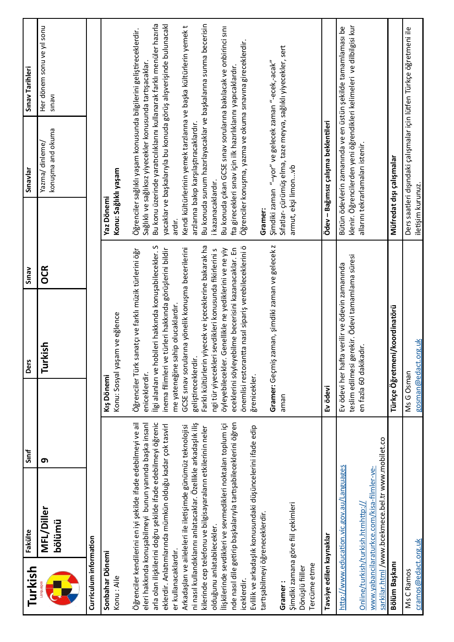| Turkish                              | Fakülte                                                                                                                                                                                   | Sinif |                        | Ders                                                                                                            | Sinav      |                                    | Sınavlar                                                                                                             | Sınav Tarihleri                                                                                                                             |  |
|--------------------------------------|-------------------------------------------------------------------------------------------------------------------------------------------------------------------------------------------|-------|------------------------|-----------------------------------------------------------------------------------------------------------------|------------|------------------------------------|----------------------------------------------------------------------------------------------------------------------|---------------------------------------------------------------------------------------------------------------------------------------------|--|
|                                      | <b>MFL/Diller</b><br>bölümü                                                                                                                                                               | თ     |                        | Turkish                                                                                                         | <b>OCR</b> |                                    | konuşma and okuma<br>Yazma/ dinleme/                                                                                 | Her dönem sonu ve yıl sonu<br>sinavi                                                                                                        |  |
| Curriculum information               |                                                                                                                                                                                           |       |                        |                                                                                                                 |            |                                    |                                                                                                                      |                                                                                                                                             |  |
| Sonbahar Dönemi<br>Konu : Aile       |                                                                                                                                                                                           |       | Kış Dönemi             | Konu: Sosyal yaşam ve eğlence                                                                                   |            | Konu: Sağlıklı yaşam<br>Yaz Dönemi |                                                                                                                      |                                                                                                                                             |  |
|                                      | Öğrenciler kendilerini en iyi şekilde ifade edebilmeyi ve ail<br>eleri hakkında konuşabilmeyi bunun yanında başka insanl<br>arla olan ilişkilerini doğru şekilde ifade edebilmeyi öğrenic |       | eniceklerdir.          | ilgi alanları ve hobileri hakkında konuşabilecekler. S<br>Öğrenciler Türk sanatçı ve farklı müzik türlerini öğr |            |                                    | Sağlıklı ve sağlıksız yiyecekler konusunda tartışacaklar.                                                            | Bu konu üzerinde yaratıcılıklarını kullanarak farklı menüler hazırla<br>Öğrenciler sağlıklı yaşam konusunda bilgilerini geliştireceklerdir. |  |
| er kullanacaklardır.                 | eklerdir. Anlatımlarında mümkün olduğu kadar çok tasvirl                                                                                                                                  |       |                        | inema filimleri ve türleri hakkında görüşlerini bildir<br>me yateneğine sahip olucaklardır.                     |            | ardır.                             |                                                                                                                      | yacaklar ve başkalarıyla bu konuda görüş alışverişinde bulunacakl                                                                           |  |
|                                      | ni nasıl kullandıklarını anlatacaklar. Özellikle arkadaşlık iliş<br>Arkadaşları ve aileleleri ile iletişimde günümüz teknolojisi                                                          |       | geliştireceklerdir.    | GCSE sınav sorularına yönelik konuşma becerilerini                                                              |            |                                    | arzlarına bakıp karşılaştıracaklardır.                                                                               | Kendi kültürlerinin yemek tarzlarına ve başka kültürlerin yemek t                                                                           |  |
| olduğunu anlatabilecekler.           | kilerinde cep telefonu ve bilgisayaraların etkilerinin neler                                                                                                                              |       |                        | Farklı kültürlerin yiyecek ve içeceklerine bakarak ha<br>ngi tür yiyecekleri sevdikleri konusunda fikirlerini s |            | i kazanacaklardır.                 |                                                                                                                      | Bu konuda sunum hazırlayacaklar ve başkalarına sunma becerisin                                                                              |  |
|                                      | nde nasıl dile getirip başkalarıyla tartışabileceklerini öğren<br>liişkilerinde sevdikleri ve sevmedikleri noktaları toplum içi                                                           |       | öyleyebilecekler.      | Genellikle ne yediklerini ve ne yiy<br>eceklerini söyleyebilme becerisini kazanacaklar. En                      |            |                                    | fta girecekleri sınav için ilk hazırlıklarını yapıcaklardır.                                                         | Bu konuda çıkan GCSE sınav sorularına bakılacak ve onbirinci sını                                                                           |  |
| iceklerdir.                          | Evlilik ve arkadaşlık konusundaki düşüncelerini ifade edip                                                                                                                                |       | ğrenicekler.           | önemlisi restorantta nasıl sipariş verebileceklerini ö                                                          |            |                                    | Öğrenciler konuşma, yazma ve okuma sınavına gireceklerdir.                                                           |                                                                                                                                             |  |
| tartışabilmeyi öğreneceklerdir.      |                                                                                                                                                                                           |       |                        |                                                                                                                 |            | Gramer:                            |                                                                                                                      |                                                                                                                                             |  |
| Gramer:                              |                                                                                                                                                                                           |       | aman                   | Gramer: Geçmiş zaman, şimdiki zaman ve gelecek z                                                                |            |                                    | Sıfatlar- çürümüş elma, taze meyva, sağlıklı yiyecekler, sert<br>Şimdiki zaman "-yor" ve gelecek zaman "-ecek,-acak" |                                                                                                                                             |  |
| Tercüme etme<br>Dönüşlü fiiller      | Şimdiki zamana göre fiil çekimleri                                                                                                                                                        |       |                        |                                                                                                                 |            | armut, ekşi limon…vb               |                                                                                                                      |                                                                                                                                             |  |
| Tavsiye edilen kaynaklar             |                                                                                                                                                                                           |       | Ev ödevi               |                                                                                                                 |            |                                    | Ödev - Bağımsız çalışma beklentileri                                                                                 |                                                                                                                                             |  |
|                                      | http://www.education.vic.gov.au/Languages                                                                                                                                                 |       |                        | teslim edilmesi gerekir. Ödevi tamamlama süresi<br>Ev ödevi her hafta verilir ve ödevin zamanında               |            |                                    |                                                                                                                      | klenir. Öğrencilerden yeni öğrendikleri kelimeleri ve dilbilgisi kur<br>Bütün ödevlerin zamanında ve en üstün şekilde tamamlaması be        |  |
| $On$ line/turkish/turkish.htmhttp:// |                                                                                                                                                                                           |       | en fazla 60 dakikadır. |                                                                                                                 |            |                                    | allarını tekrarlamaları istenir.                                                                                     |                                                                                                                                             |  |
|                                      | sarkilar.html /www.bcekmece.bel.tr www.mobilet.co<br>www.yabancilaraturkce.com/kisa-filmler-ve-                                                                                           |       |                        |                                                                                                                 |            |                                    |                                                                                                                      |                                                                                                                                             |  |
| Bölüm Başkanı                        |                                                                                                                                                                                           |       |                        | Türkçe Öğretmeni/koordinatörü                                                                                   |            |                                    | Müfredat dışı çalışmalar                                                                                             |                                                                                                                                             |  |
| Ms C Ramos                           |                                                                                                                                                                                           |       | Ms G Osman             |                                                                                                                 |            |                                    |                                                                                                                      | Ders saatleri dışındaki çalışmalar için lütfen Türkçe öğretmeni ile                                                                         |  |
| cramos@edact.org.uk                  |                                                                                                                                                                                           |       |                        | gosman@edact.org.uk                                                                                             |            | iletişim kurunuz.                  |                                                                                                                      |                                                                                                                                             |  |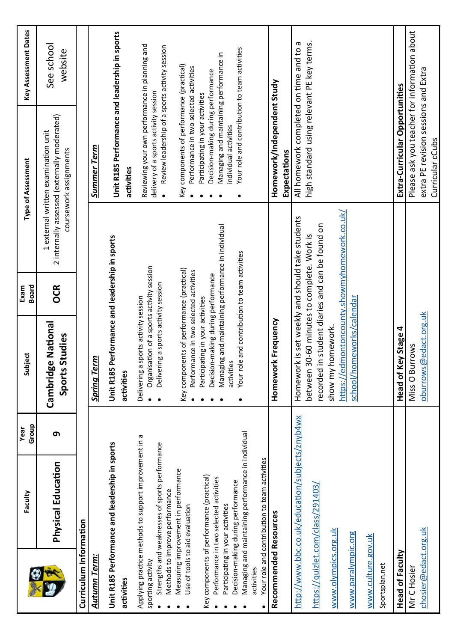|                                  | Faculty                                                                                                                                   | Group<br>Year | ã<br>Subj                                                                                                                                        | Board<br>Exam | Type of Assessment                                                                                                                         | Key Assessment Dates  |  |
|----------------------------------|-------------------------------------------------------------------------------------------------------------------------------------------|---------------|--------------------------------------------------------------------------------------------------------------------------------------------------|---------------|--------------------------------------------------------------------------------------------------------------------------------------------|-----------------------|--|
|                                  | Physical Education                                                                                                                        | თ             | <b>Cambridge National</b><br>Studies<br>Sports!                                                                                                  | <b>OCR</b>    | 2 internally assessed (externally moderated)<br>1 external written examination unit<br>coursework assignments                              | See school<br>website |  |
| Curriculum Information           |                                                                                                                                           |               |                                                                                                                                                  |               |                                                                                                                                            |                       |  |
| Autumn Term:                     |                                                                                                                                           |               | E,<br><b>Spring Ter</b>                                                                                                                          |               | <u>Summer Term</u>                                                                                                                         |                       |  |
|                                  | Unit R185 Performance and leadership in sports                                                                                            |               | Unit R185 Performance and leadership in sports                                                                                                   |               | Unit R185 Performance and leadership in sports                                                                                             |                       |  |
| activities                       |                                                                                                                                           |               | activities                                                                                                                                       |               | activities                                                                                                                                 |                       |  |
| sporting activity                | Applying practice methods to support improvement in a<br>Strengths and weaknesses of sports performance<br>Methods to improve performance |               | Organisation of a sports activity session<br>Delivering a sports activity session<br>sports activity session<br>Delivering a<br>$\bullet$        |               | Reviewing your own performance in planning and<br>Review leadership of a sports activity session<br>delivery of a sports activity session  |                       |  |
| Use of tools to aid evaluation   | Measuring improvement in performance                                                                                                      |               | Key components of performance (practical)<br>Performance in two selected activities                                                              |               | Key components of performance (practical)<br>Performance in two selected activities                                                        |                       |  |
| Participating in your activities | Key components of performance (practical)<br>Performance in two selected activities                                                       |               | Managing and maintaining performance in individual<br>Decision-making during performance<br>Participating in your activities<br>activities       |               | Managing and maintaining performance in<br>Decision-making during performance<br>Participating in your activities<br>individual activities |                       |  |
| activities                       | Managing and maintaining performance in individual<br>Your role and contribution to team activities<br>Decision-making during performance |               | Your role and contribution to team activities                                                                                                    |               | Your role and contribution to team activities                                                                                              |                       |  |
| Recommended Resources            |                                                                                                                                           |               | k Frequency<br>Homewor                                                                                                                           |               | Homework/Independent Study                                                                                                                 |                       |  |
|                                  |                                                                                                                                           |               |                                                                                                                                                  |               | Expectations                                                                                                                               |                       |  |
|                                  | http://www.bbc.co.uk/education/subjects/znyb4wx<br>https://quizlet.com/class/291403,                                                      |               | Homework is set weekly and should take students<br>recorded in student diaries and can be found on<br>between 30-60 minutes to complete. Work is |               | high standard using relevant PE key terms.<br>All homework completed on time and to a                                                      |                       |  |
| www.olympics.org.uk              |                                                                                                                                           |               | show my homework.                                                                                                                                |               |                                                                                                                                            |                       |  |
| www.paralympic.org               |                                                                                                                                           |               | https://edmontoncounty.showmyhomework.co.uk/<br>school/homeworks/calendar                                                                        |               |                                                                                                                                            |                       |  |
| www.culture.gov.uk               |                                                                                                                                           |               |                                                                                                                                                  |               |                                                                                                                                            |                       |  |
| Sportsplan.net                   |                                                                                                                                           |               |                                                                                                                                                  |               |                                                                                                                                            |                       |  |
| <b>Head of Faculty</b>           |                                                                                                                                           |               | <b>Head of Key Stage 4</b>                                                                                                                       |               | Extra-Curricular Opportunities                                                                                                             |                       |  |
| Mr C Hosier                      |                                                                                                                                           |               | Miss O Burrows                                                                                                                                   |               | Please ask you teacher for information about                                                                                               |                       |  |
| chosier@edact.org.uk             |                                                                                                                                           |               | oburrows@edact.org.uk                                                                                                                            |               | extra PE revision sessions and Extra<br>Curricular cCubs                                                                                   |                       |  |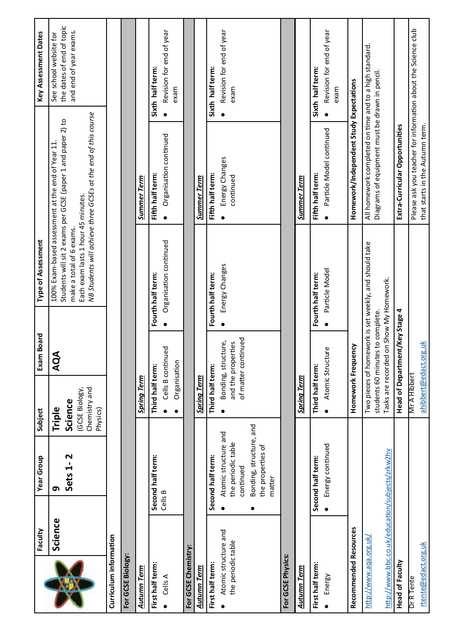|                                            | Faculty | <b>Year Group</b>                                      | Subject                                                | Exam Board                                | Type of Assessment                                             |                                                                                                                 | Key Assessment Dates                                |
|--------------------------------------------|---------|--------------------------------------------------------|--------------------------------------------------------|-------------------------------------------|----------------------------------------------------------------|-----------------------------------------------------------------------------------------------------------------|-----------------------------------------------------|
|                                            | Science | ത                                                      | Triple                                                 | ⋖<br>Ř                                    |                                                                | Students will sit 2 exams per GCSE (paper 1 and paper 2) to<br>100% Exam-based assessment at the end of Year 11 | the dates of end of topic<br>See school website for |
|                                            |         | Sets 1-2                                               | (GCSE Biology,<br>Chemistry and<br>Science<br>Physics) |                                           | Each exam lasts 1 hour 45 minutes.<br>make a total of 6 exams. | NB Students will achieve three GCSEs at the end of this course                                                  | and end of year exams.                              |
| Curriculum information                     |         |                                                        |                                                        |                                           |                                                                |                                                                                                                 |                                                     |
| For GCSE Biology:                          |         |                                                        |                                                        |                                           |                                                                |                                                                                                                 |                                                     |
| Autumn Term                                |         |                                                        | <b>Spring Term</b>                                     |                                           |                                                                | Summer Term                                                                                                     |                                                     |
| First half term:                           |         | Second half term:                                      | Third half term:                                       |                                           | Fourth half term:                                              | Fifth half term:                                                                                                | Sixth half term:                                    |
| Cells A                                    |         | Cells B                                                |                                                        | Cells B continued                         | Organisation continued<br>$\bullet$                            | $\bullet$<br>Organisation continued<br>$\bullet$                                                                | Revision for end of year                            |
|                                            |         |                                                        | Organisation                                           |                                           |                                                                |                                                                                                                 | exam                                                |
| For GCSE Chemistry:                        |         |                                                        |                                                        |                                           |                                                                |                                                                                                                 |                                                     |
| <b>Autumn Term</b>                         |         |                                                        | <b>Spring Term</b>                                     |                                           |                                                                | <b>Summer Term</b>                                                                                              |                                                     |
| First half term:                           |         | Second half term:                                      | Third half term:                                       |                                           | Fourth half term:                                              | Fifth half term:                                                                                                | Sixth half term:                                    |
| Atomic structure and<br>the periodic table |         | Atomic structure and<br>the periodic table             |                                                        | Bonding, structure,<br>and the properties | Energy Changes                                                 | Energy Changes<br>continued                                                                                     | Revision for end of year<br>exam                    |
|                                            |         | continued                                              |                                                        | of matter continued                       |                                                                |                                                                                                                 |                                                     |
|                                            |         | Bonding, structure, and<br>the properties of<br>matter |                                                        |                                           |                                                                |                                                                                                                 |                                                     |
| For GCSE Physics:                          |         |                                                        |                                                        |                                           |                                                                |                                                                                                                 |                                                     |
| Autumn Term                                |         |                                                        | <b>Spring Term</b>                                     |                                           |                                                                | <u>Summer Term</u>                                                                                              |                                                     |
| First half term:                           |         | Second half term:                                      | Third half term:                                       |                                           | Fourth half term:                                              | Fifth half term:                                                                                                | Sixth half term:                                    |
| Energy                                     |         | Energy continued                                       |                                                        | Atomic Structure                          | Particle Model<br>$\bullet$                                    | $\bullet$<br>Particle Model continued                                                                           | Revision for end of year<br>exam                    |
| Recommended Resources                      |         |                                                        | Homework Frequency                                     |                                           |                                                                | Homework/Independent Study Expectations                                                                         |                                                     |
| http://www.aqa.org.uk/                     |         |                                                        |                                                        | students 60 minutes to complete.          | Two pieces of homework is set weekly, and should take          | All homework completed on time and to a high standard.<br>Diagrams of equipment must be drawn in pencil.        |                                                     |
|                                            |         | http://www.bbc.co.uk/education/subjects/zrkw2hv        |                                                        | Tasks are recorded on Show My Homework.   |                                                                |                                                                                                                 |                                                     |
| Head of Faculty                            |         |                                                        |                                                        | Head of Department/Key Stage 4            |                                                                | Extra-Curricular Opportunities                                                                                  |                                                     |
| rtente@edact.org.uk<br>Dr R Tente          |         |                                                        | ahibbert@edact.org.uk<br>Mr A Hibbert                  |                                           |                                                                | Please ask you teacher for information about the Science club<br>that starts in the Autumn term.                |                                                     |
|                                            |         |                                                        |                                                        |                                           |                                                                |                                                                                                                 |                                                     |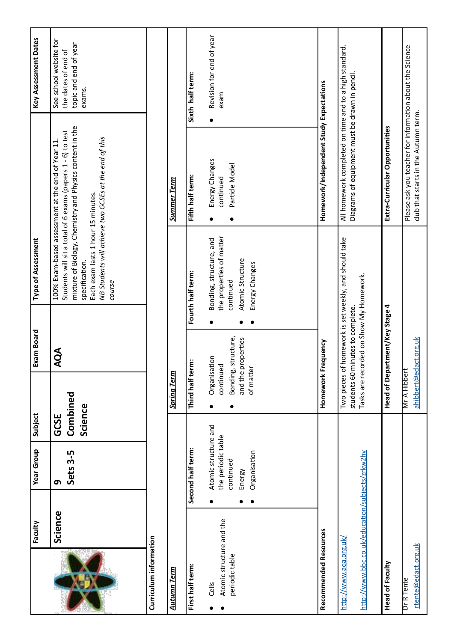|                                                                           | Faculty | <b>Year Group</b>                                                                 | Subject                                             | Exam Board                                                                 | Type of Assessment                                                                                     |                                                                                                                                                                                                                                       | Key Assessment Dates                                                             |
|---------------------------------------------------------------------------|---------|-----------------------------------------------------------------------------------|-----------------------------------------------------|----------------------------------------------------------------------------|--------------------------------------------------------------------------------------------------------|---------------------------------------------------------------------------------------------------------------------------------------------------------------------------------------------------------------------------------------|----------------------------------------------------------------------------------|
|                                                                           | Science | Sets 3-5<br>თ                                                                     | Combined<br>Science<br>GCSE                         | AQA                                                                        | Each exam lasts 1 hour 15 minutes.<br>specification.<br>course                                         | mixture of Biology, Chemistry and Physics content in the<br>Students will sit a total of 6 exams (papers 1 - 6) to test<br>NB Students will achieve two GCSEs at the end of this<br>100% Exam-based assessment at the end of Year 11. | See school website for<br>topic and end of year<br>the dates of end of<br>exams. |
| Curriculum information                                                    |         |                                                                                   |                                                     |                                                                            |                                                                                                        |                                                                                                                                                                                                                                       |                                                                                  |
| <u>Autumn Term</u>                                                        |         |                                                                                   | <b>Spring Term</b>                                  |                                                                            |                                                                                                        | Sunnner Term                                                                                                                                                                                                                          |                                                                                  |
| First half term:                                                          |         | Second half term:                                                                 | Third half term:                                    |                                                                            | Fourth half term:                                                                                      | Fifth half term:                                                                                                                                                                                                                      | Sixth half term:                                                                 |
| Atomic structure and the<br>periodic table<br>Cells                       |         | Atomic structure and<br>the periodic table<br>Organisation<br>continued<br>Energy | Organisation<br>continued<br>of matter<br>$\bullet$ | Bonding, structure,<br>and the properties                                  | the properties of matter<br>Bonding, structure, and<br>Atomic Structure<br>Energy Changes<br>continued | Energy Changes<br>Particle Model<br>continued                                                                                                                                                                                         | Revision for end of year<br>exam                                                 |
|                                                                           |         |                                                                                   |                                                     |                                                                            |                                                                                                        |                                                                                                                                                                                                                                       |                                                                                  |
| Recommended Resources                                                     |         |                                                                                   | Homework Frequency                                  |                                                                            |                                                                                                        | Homework/Independent Study Expectations                                                                                                                                                                                               |                                                                                  |
| http://www.bbc.co.uk/education/subjects/zrkw2hv<br>http://www.aqa.org.uk/ |         |                                                                                   |                                                     | Tasks are recorded on Show My Homework.<br>students 60 minutes to complete | Two pieces of homework is set weekly, and should take                                                  | All homework completed on time and to a high standard.<br>Diagrams of equipment must be drawn in pencil.                                                                                                                              |                                                                                  |
| Head of Faculty                                                           |         |                                                                                   | Head of Depa                                        | Irtment/Key Stage 4                                                        |                                                                                                        | Extra-Curricular Opportunities                                                                                                                                                                                                        |                                                                                  |
| rtente@edact.org.uk<br>Dr R Tente                                         |         |                                                                                   | Mr A Hibbert                                        | ahibbert@edact.org.uk                                                      |                                                                                                        | Please ask you teacher for information about the Science<br>club that starts in the Autumn term.                                                                                                                                      |                                                                                  |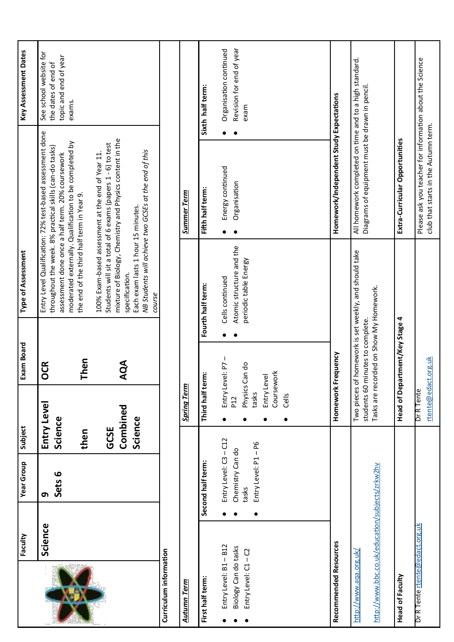|                                                                           | Faculty | <b>Year Group</b>                                                      | Subject                           | Exam Board                                                                  | Type of Assessment                                                   |                                                                                                                                                                                                                                    | Key Assessment Dates                                                             |
|---------------------------------------------------------------------------|---------|------------------------------------------------------------------------|-----------------------------------|-----------------------------------------------------------------------------|----------------------------------------------------------------------|------------------------------------------------------------------------------------------------------------------------------------------------------------------------------------------------------------------------------------|----------------------------------------------------------------------------------|
|                                                                           | Science | Sets 6<br>თ                                                            | Entry Level<br>Science            | <b>OCR</b>                                                                  |                                                                      | Entry Level Qualification: 72% test-based assessment done<br>moderated externally. Qualification to be completed by<br>throughout the week. 8% practical skills (can-do tasks)<br>assessment done once a half term. 20% coursework | See school website for<br>topic and end of year<br>the dates of end of<br>exams. |
|                                                                           |         |                                                                        | then                              | Then                                                                        | the end of the third half term in Year 9.                            |                                                                                                                                                                                                                                    |                                                                                  |
|                                                                           |         |                                                                        | Combined<br>GCSE                  | AQA                                                                         | specification.                                                       | mixture of Biology, Chemistry and Physics content in the<br>Students will sit a total of 6 exams (papers 1 - 6) to test<br>100% Exam-based assessment at the end of Year 11.                                                       |                                                                                  |
|                                                                           |         |                                                                        | Science                           |                                                                             | Each exam lasts 1 hour 15 minutes.<br>course                         | NB Students will achieve two GCSEs at the end of this                                                                                                                                                                              |                                                                                  |
| Curriculum information                                                    |         |                                                                        |                                   |                                                                             |                                                                      |                                                                                                                                                                                                                                    |                                                                                  |
| <b>Autumn Term</b>                                                        |         |                                                                        | <b>Spring Term</b>                |                                                                             |                                                                      | <u>Summer Term</u>                                                                                                                                                                                                                 |                                                                                  |
| First half term:                                                          |         | Second half term:                                                      | Third half term:                  |                                                                             | Fourth half term:                                                    | Fifth half term:                                                                                                                                                                                                                   | Sixth half term:                                                                 |
| Entry Level: B1 - B12<br>Biology Can do tasks<br>Entry Level: C1-C2       |         | Entry Level: C3-C12<br>Entry Level: P1-P6<br>Chemistry Can do<br>tasks | tasks<br>Cells<br>P <sub>12</sub> | Entry Level: P7-<br>Physics Can do<br>Coursework<br>Entry Level             | Atomic structure and the<br>periodic table Energy<br>Cells continued | Energy continued<br>Organisation                                                                                                                                                                                                   | Revision for end of year<br>Organisation continued<br>exam                       |
| Recommended Resources                                                     |         |                                                                        |                                   | Homework Frequency                                                          |                                                                      | Homework/Independent Study Expectations                                                                                                                                                                                            |                                                                                  |
| http://www.bbc.co.uk/education/subjects/zrkw2hv<br>http://www.aqa.org.uk/ |         |                                                                        |                                   | Tasks are recorded on Show My Homework.<br>students 60 minutes to complete. | Two pieces of homework is set weekly, and should take                | All homework completed on time and to a high standard.<br>Diagrams of equipment must be drawn in pencil.                                                                                                                           |                                                                                  |
| Head of Faculty                                                           |         |                                                                        |                                   | Head of Department/Key Stage 4                                              |                                                                      | Extra-Curricular Opportunities                                                                                                                                                                                                     |                                                                                  |
| Dr R Tente rtente@edact.org.uk                                            |         |                                                                        | Dr R Tente                        | rtente@edact.org.uk                                                         |                                                                      | Please ask you teacher for information about the Science<br>club that starts in the Autumn term.                                                                                                                                   |                                                                                  |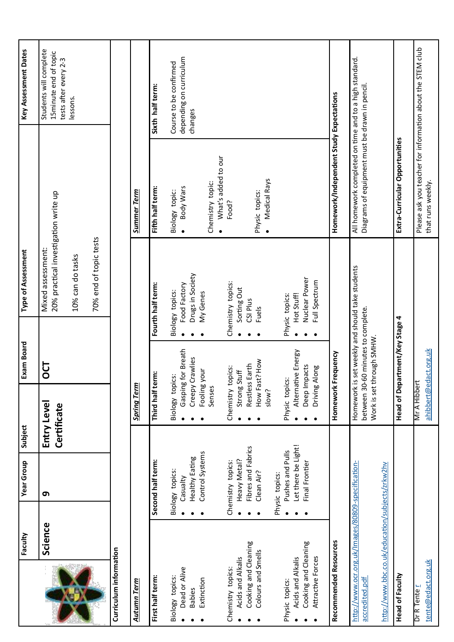<span id="page-20-0"></span>

|                                                                     | Faculty | <b>Year Group</b>                       | Subject                           | Exam Board                                                      | Type of Assessment                                        |                                                                                                          | Key Assessment Dates                                                      |
|---------------------------------------------------------------------|---------|-----------------------------------------|-----------------------------------|-----------------------------------------------------------------|-----------------------------------------------------------|----------------------------------------------------------------------------------------------------------|---------------------------------------------------------------------------|
|                                                                     | Science | თ                                       | Entry Level<br>Certificate        | <b>DCT</b>                                                      | 20% practical investigation write up<br>Mixed assessment: |                                                                                                          | Students will complete<br>15 minute end of topic<br>tests after every 2-3 |
|                                                                     |         |                                         |                                   |                                                                 | 10% can do tasks                                          |                                                                                                          | lessons.                                                                  |
|                                                                     |         |                                         |                                   |                                                                 | 70% end of topic tests                                    |                                                                                                          |                                                                           |
| Curriculum information                                              |         |                                         |                                   |                                                                 |                                                           |                                                                                                          |                                                                           |
| Autumn Term                                                         |         |                                         | <b>Spring Term</b>                |                                                                 |                                                           | Summer Term                                                                                              |                                                                           |
| First half term:                                                    |         | Second half term:                       | Third half term:                  |                                                                 | Fourth half term:                                         | Fifth half term:                                                                                         | Sixth half term:                                                          |
| Dead or Alive<br>Biology topics:                                    |         | Biology topics:                         | Biology topics:                   |                                                                 | Food Factory<br>Biology topics:                           | <b>Body Wars</b><br>Biology topic:                                                                       | Course to be confirmed                                                    |
| <b>Babies</b>                                                       |         | Healthy Eating<br>Casualty              |                                   | Gasping for Breath<br>Creepy Crawlies                           | Drugs in Society                                          |                                                                                                          | depending on curriculum<br>changes                                        |
| Extinction                                                          |         | Control Systems                         | Fooling your<br>Senses            |                                                                 | My Genes                                                  | What's added to our<br>Chemistry topic:                                                                  |                                                                           |
| Acids and Alkalis<br>Chemistry topics:                              |         | Heavy Metal?<br>Chemistry topics:       | Chemistry topics:<br>Strong Stuff |                                                                 | Chemistry topics:<br>Sorting Out                          | Food?                                                                                                    |                                                                           |
| Cooking and Cleaning<br>Colours and Smells                          |         | Fibres and Fabrics<br>Clean Air?        | slow?                             | How Fast? How<br>Restless Earth                                 | CSI Plus<br><b>Fuels</b>                                  | <b>Medical Rays</b><br>Physic topics:<br>$\bullet$                                                       |                                                                           |
|                                                                     |         | Physic topics:                          | Physic topics:                    |                                                                 |                                                           |                                                                                                          |                                                                           |
| Acids and Alkalis<br>Physic topics:                                 |         | Let there be Light!<br>Pushes and Pulls |                                   | Alternative Energy                                              | Hot Stuff!<br>Physic topics:                              |                                                                                                          |                                                                           |
| Cooking and Cleaning<br>Attractive Forces                           |         | Final Frontier                          |                                   | Deep Impacts<br>Driving Along                                   | Nuclear Power<br>Full Spectrum                            |                                                                                                          |                                                                           |
| Recommended Resources                                               |         |                                         |                                   | Homework Frequency                                              |                                                           | Homework/Independent Study Expectations                                                                  |                                                                           |
| http://www.ocr.org.uk/Images/80809-specification-<br>accredited.pdf |         |                                         |                                   | between 30-60 minutes to complete.<br>Work is set through SMHW. | Homework is set weekly and should take students           | All homework completed on time and to a high standard.<br>Diagrams of equipment must be drawn in pencil. |                                                                           |
| http://www.bbc.co.uk/education/subjects/zrkw2hv                     |         |                                         |                                   |                                                                 |                                                           |                                                                                                          |                                                                           |
| Head of Faculty                                                     |         |                                         |                                   | Head of Department/Key Stage 4                                  |                                                           | Extra-Curricular Opportunities                                                                           |                                                                           |
| tente@edact.org.uk<br>Dr R Tente r                                  |         |                                         | Mr A Hibbert                      | ahibbert@edact.org.uk                                           |                                                           | Please ask you teacher for information about the STEM club<br>that runs weekly.                          |                                                                           |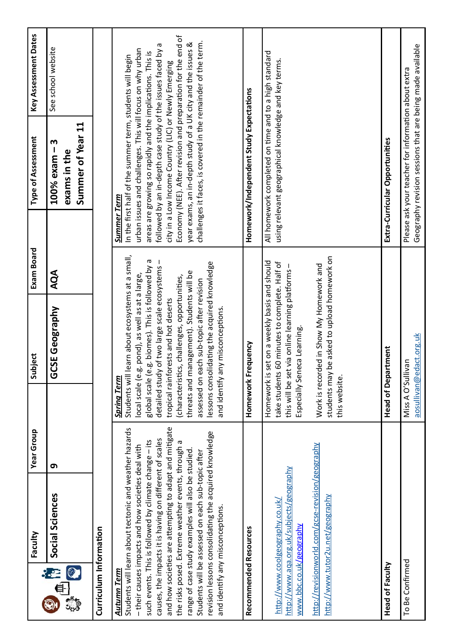|                         | Faculty                                                                                                                                                                                                                                                                                                                                                                                                                                                                                                                                                  | Year Group |                                                | Subject                                                                                                                                                                                                                                                                                                                                                                                                                                                                          | Exam Board |                    | Type of Assessment                                                                                                                                                                                                                                                                                                                                                                                                                                                                                          | Key Assessment Dates |
|-------------------------|----------------------------------------------------------------------------------------------------------------------------------------------------------------------------------------------------------------------------------------------------------------------------------------------------------------------------------------------------------------------------------------------------------------------------------------------------------------------------------------------------------------------------------------------------------|------------|------------------------------------------------|----------------------------------------------------------------------------------------------------------------------------------------------------------------------------------------------------------------------------------------------------------------------------------------------------------------------------------------------------------------------------------------------------------------------------------------------------------------------------------|------------|--------------------|-------------------------------------------------------------------------------------------------------------------------------------------------------------------------------------------------------------------------------------------------------------------------------------------------------------------------------------------------------------------------------------------------------------------------------------------------------------------------------------------------------------|----------------------|
| @<br>经旧                 | Social Sciences                                                                                                                                                                                                                                                                                                                                                                                                                                                                                                                                          | ෨          |                                                | GCSE Geography                                                                                                                                                                                                                                                                                                                                                                                                                                                                   | AQA        |                    | Summer of Year 11<br>m<br>$100%$ exam $-$<br>exams in the                                                                                                                                                                                                                                                                                                                                                                                                                                                   | See school website   |
| Curriculum Information  |                                                                                                                                                                                                                                                                                                                                                                                                                                                                                                                                                          |            |                                                |                                                                                                                                                                                                                                                                                                                                                                                                                                                                                  |            |                    |                                                                                                                                                                                                                                                                                                                                                                                                                                                                                                             |                      |
| Autumn Term             | and how societies are attempting to adapt and mitigate<br>Students will learn about tectonic and weather hazards<br>revision lessons consolidating the acquired knowledge<br>causes, the impacts it is having on different of scales<br>such events. This is followed by climate change - its<br>the risks posed. Extreme weather events, through a<br>- their causes impacts and how societies deal with<br>range of case study examples will also be studied.<br>Students will be assessed on each sub-topic after<br>and identify any misconceptions. |            | <b>Spring Term</b>                             | Students will learn about ecosystems at a small,<br>global scale (e.g. biomes). This is followed by a<br>detailed study of two large scale ecosystems -<br>lessons consolidating the acquired knowledge<br>threats and management). Students will be<br>local scale (e.g. pond), as well as at a large,<br>(characteristics, challenges, opportunities,<br>assessed on each sub-topic after revision<br>tropical rainforests and hot deserts<br>and identify any misconceptions. |            | <b>Summer Term</b> | Economy (NEE). After revision and preparation for the end of<br>challenges it faces, is covered in the remainder of the term.<br>year exams, an in-depth study of a UK city and the issues &<br>followed by an in-depth case study of the issues faced by a<br>urban issues and challenges. This will focus on why urban<br>areas are growing so rapidly and the implications. This is<br>In the first half of the summer term, students will begin<br>city in a Low Income Country (LIC) or Newly Emerging |                      |
| Recommended Resources   |                                                                                                                                                                                                                                                                                                                                                                                                                                                                                                                                                          |            | Homework Frequency                             |                                                                                                                                                                                                                                                                                                                                                                                                                                                                                  |            |                    | Homework/Independent Study Expectations                                                                                                                                                                                                                                                                                                                                                                                                                                                                     |                      |
| www.bbc.co.uk/geography | http://revisionworld.com/gcse-revision/geography<br>http://www.aqa.org.uk/subjects/geography<br>http://www.tutor2u.net/geography<br>http://www.coolgeography.co.uk,                                                                                                                                                                                                                                                                                                                                                                                      |            | take students<br>students may<br>this website. | be asked to upload homework on<br>Homework is set on a weekly basis and should<br>60 minutes to complete. Half of<br>Work is recorded in Show My Homework and<br>this will be set via online learning platforms -<br>Especially Seneca Learning.                                                                                                                                                                                                                                 |            |                    | All homework completed on time and to a high standard<br>using relevant geographical knowledge and key terms.                                                                                                                                                                                                                                                                                                                                                                                               |                      |
| Head of Faculty         |                                                                                                                                                                                                                                                                                                                                                                                                                                                                                                                                                          |            | <b>Head of Department</b>                      |                                                                                                                                                                                                                                                                                                                                                                                                                                                                                  |            |                    | Extra-Curricular Opportunities                                                                                                                                                                                                                                                                                                                                                                                                                                                                              |                      |
| To Be Confirmed         |                                                                                                                                                                                                                                                                                                                                                                                                                                                                                                                                                          |            | aosullivan@edact.org.uk<br>Miss A O'Sullivan   |                                                                                                                                                                                                                                                                                                                                                                                                                                                                                  |            |                    | Geography revision sessions that are being made available<br>Please ask your teacher for information about extra                                                                                                                                                                                                                                                                                                                                                                                            |                      |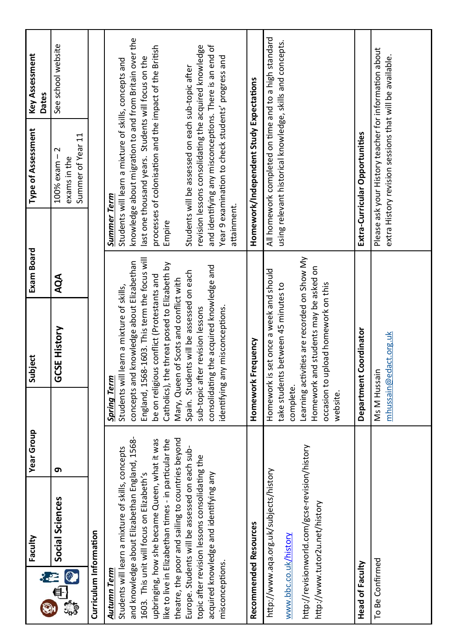|                                                                                     | Faculty                                                                                                                                                                                                                                                                                                                                                                                                                                                       | <b>Year Group</b>                                     | Subject                                                                                                                                                                                                                                                                                                                                                                                                       | Exam Board | Type of Assessment                                                                                                                                                                                                                                                                                                                                                                                                                                                                                   | <b>Key Assessment</b><br>Dates |
|-------------------------------------------------------------------------------------|---------------------------------------------------------------------------------------------------------------------------------------------------------------------------------------------------------------------------------------------------------------------------------------------------------------------------------------------------------------------------------------------------------------------------------------------------------------|-------------------------------------------------------|---------------------------------------------------------------------------------------------------------------------------------------------------------------------------------------------------------------------------------------------------------------------------------------------------------------------------------------------------------------------------------------------------------------|------------|------------------------------------------------------------------------------------------------------------------------------------------------------------------------------------------------------------------------------------------------------------------------------------------------------------------------------------------------------------------------------------------------------------------------------------------------------------------------------------------------------|--------------------------------|
| $\circledcirc$<br>经电<br>$\overline{\mathbf{e}}_{\mathbf{p}\mathbf{p}}^{\mathbf{g}}$ | Social Sciences                                                                                                                                                                                                                                                                                                                                                                                                                                               | G                                                     | GCSE History                                                                                                                                                                                                                                                                                                                                                                                                  | AQA        | Summer of Year 11<br>2<br>$100%$ exam $-$<br>exams in the                                                                                                                                                                                                                                                                                                                                                                                                                                            | See school website             |
| Curriculum Information                                                              |                                                                                                                                                                                                                                                                                                                                                                                                                                                               |                                                       |                                                                                                                                                                                                                                                                                                                                                                                                               |            |                                                                                                                                                                                                                                                                                                                                                                                                                                                                                                      |                                |
| misconceptions.<br><b>Autumn Term</b>                                               | and knowledge about Elizabethan England, 1568-<br>theatre, the poor and sailing to countries beyond<br>upbringing, how she became Queen, what it was<br>like to live in Elizabethan times - in particular the<br>Europe. Students will be assessed on each sub-<br>Students will learn a mixture of skills, concepts<br>topic after revision lessons consolidating the<br>1603. This unit will focus on Elizabeth's<br>acquired knowledge and identifying any | concepts and<br>Students will<br><b>Spring Term</b>   | England, 1568-1603. This term the focus will<br>knowledge about Elizabethan<br>Catholics), the threat posed to Elizabeth by<br>consolidating the acquired knowledge and<br>Spain. Students will be assessed on each<br>be on religious conflict (Protestants and<br>Mary, Queen of Scots and conflict with<br>earn a mixture of skills,<br>sub-topic after revision lessons<br>identifying any misconceptions | Empire     | knowledge about migration to and from Britain over the<br>processes of colonisation and the impact of the British<br>revision lessons consolidating the acquired knowledge<br>and identifying any misconceptions. There is an end of<br>Year 9 examination to check students' progress and<br>last one thousand years. Students will focus on the<br>Students will learn a mixture of skills, concepts and<br>Students will be assessed on each sub-topic after<br><b>Summer Term</b><br>attainment. |                                |
| Recommended Resources                                                               |                                                                                                                                                                                                                                                                                                                                                                                                                                                               | Homework Fr                                           | equency                                                                                                                                                                                                                                                                                                                                                                                                       |            | Homework/Independent Study Expectations                                                                                                                                                                                                                                                                                                                                                                                                                                                              |                                |
| www.bbc.co.uk/history                                                               | http://revisionworld.com/gcse-revision/history<br>http://www.aqa.org.uk/subjects/history<br>http://www.tutor2u.net/history                                                                                                                                                                                                                                                                                                                                    | take students<br>Homework is<br>complete.<br>website. | Learning activities are recorded on Show My<br>Homework and students may be asked on<br>set once a week and should<br>occasion to upload homework on this<br>between 45 minutes to                                                                                                                                                                                                                            |            | All homework completed on time and to a high standard<br>using relevant historical knowledge, skills and concepts.                                                                                                                                                                                                                                                                                                                                                                                   |                                |
| Head of Faculty                                                                     |                                                                                                                                                                                                                                                                                                                                                                                                                                                               | Department                                            | Coordinator                                                                                                                                                                                                                                                                                                                                                                                                   |            | Extra-Curricular Opportunities                                                                                                                                                                                                                                                                                                                                                                                                                                                                       |                                |
| To Be Confirmed                                                                     |                                                                                                                                                                                                                                                                                                                                                                                                                                                               | Ms M Hussain                                          | mhussain@edact.org.uk                                                                                                                                                                                                                                                                                                                                                                                         |            | Please ask your History teacher for information about<br>extra History revision sessions that will be available.                                                                                                                                                                                                                                                                                                                                                                                     |                                |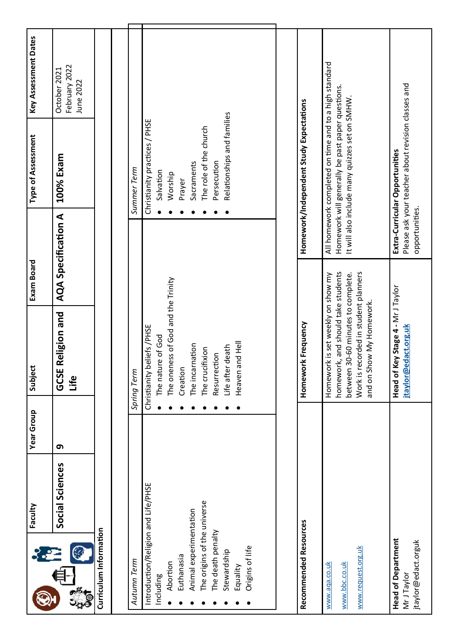<span id="page-23-0"></span>

|                                                                | Faculty         | <b>Year Group</b> | Subject                                                                     | Exam Board          | Type of Assessment                                                                                 | Key Assessment Dates                       |
|----------------------------------------------------------------|-----------------|-------------------|-----------------------------------------------------------------------------|---------------------|----------------------------------------------------------------------------------------------------|--------------------------------------------|
|                                                                | Social Sciences | ෨                 | Religion and<br>GCSE<br>Life                                                | AQA Specification A | 100% Exam                                                                                          | February 2022<br>October 2021<br>June 2022 |
| Curriculum Information                                         |                 |                   |                                                                             |                     |                                                                                                    |                                            |
|                                                                |                 |                   |                                                                             |                     |                                                                                                    |                                            |
| Autumn Term                                                    |                 |                   | Spring Term                                                                 |                     | Summer Term                                                                                        |                                            |
| Introduction/Religion and Life/PHSE<br>Including               |                 |                   | beliefs/PHSE<br>The nature of God<br>Christianity                           |                     | Christianity practices / PHSE<br>Salvation                                                         |                                            |
| Abortion                                                       |                 |                   | The oneness of God and the Trinity                                          |                     | Worship                                                                                            |                                            |
| Animal experimentation<br>Euthanasia                           |                 |                   | The incarnation<br>Creation                                                 |                     | Sacraments<br>Prayer                                                                               |                                            |
| The origins of the universe                                    |                 |                   | The crucifixion                                                             |                     | The role of the church                                                                             |                                            |
| The death penalty                                              |                 |                   | Resurrection                                                                |                     | Persecution                                                                                        |                                            |
| Stewardship                                                    |                 |                   | Life after death                                                            |                     | Relationships and families                                                                         |                                            |
| Origins of life<br>Equality                                    |                 |                   | lleH bna<br>Heaven                                                          |                     |                                                                                                    |                                            |
|                                                                |                 |                   |                                                                             |                     |                                                                                                    |                                            |
| Recommended Resources                                          |                 |                   | Homework Frequency                                                          |                     | Homework/Independent Study Expectations                                                            |                                            |
| www.aqa.co.uk                                                  |                 |                   | Homework is set weekly on show my                                           |                     | All homework completed on time and to a high standard                                              |                                            |
| www.bbc.co.uk                                                  |                 |                   | homework, and should take students<br>30-60 minutes to complete.<br>between |                     | Homework will generally be past paper questions.<br>It will also include many quizzes set on SMHW. |                                            |
| www.request.org.uk                                             |                 |                   | Work is recorded in student planners<br>and on Show My Homework.            |                     |                                                                                                    |                                            |
|                                                                |                 |                   |                                                                             |                     |                                                                                                    |                                            |
| <b>Head of Department</b><br>jtaylor@edact.orguk<br>MrJ Taylor |                 |                   | Key Stage 4 - Mr J Taylor<br>jtaylor@edact.org.uk<br>Head of                | opportunities.      | Please ask your teacher about revision classes and<br>Extra-Curricular Opportunities               |                                            |